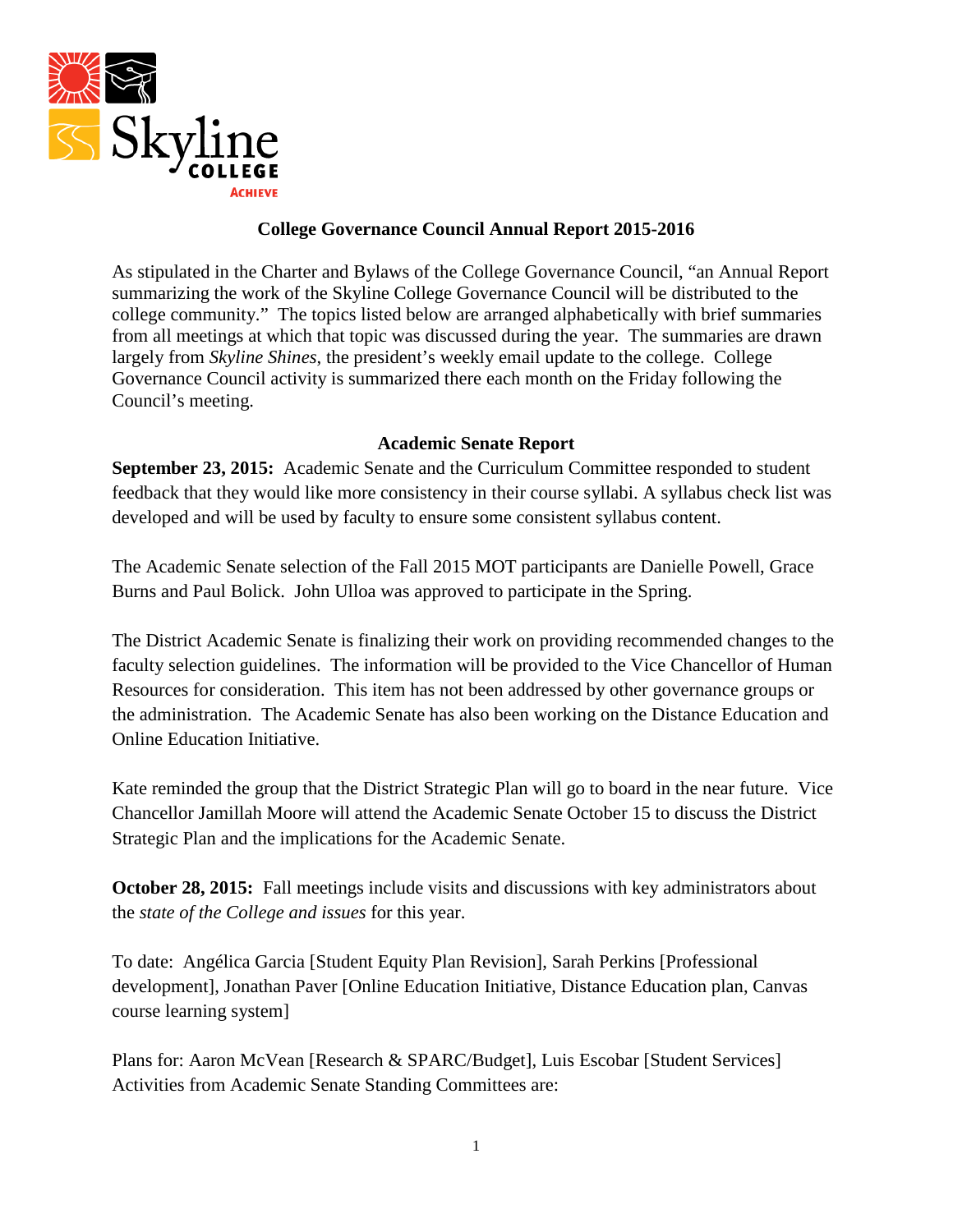

### **College Governance Council Annual Report 2015-2016**

As stipulated in the Charter and Bylaws of the College Governance Council, "an Annual Report summarizing the work of the Skyline College Governance Council will be distributed to the college community." The topics listed below are arranged alphabetically with brief summaries from all meetings at which that topic was discussed during the year. The summaries are drawn largely from *Skyline Shines*, the president's weekly email update to the college. College Governance Council activity is summarized there each month on the Friday following the Council's meeting.

#### **Academic Senate Report**

**September 23, 2015:** Academic Senate and the Curriculum Committee responded to student feedback that they would like more consistency in their course syllabi. A syllabus check list was developed and will be used by faculty to ensure some consistent syllabus content.

The Academic Senate selection of the Fall 2015 MOT participants are Danielle Powell, Grace Burns and Paul Bolick. John Ulloa was approved to participate in the Spring.

The District Academic Senate is finalizing their work on providing recommended changes to the faculty selection guidelines. The information will be provided to the Vice Chancellor of Human Resources for consideration. This item has not been addressed by other governance groups or the administration. The Academic Senate has also been working on the Distance Education and Online Education Initiative.

Kate reminded the group that the District Strategic Plan will go to board in the near future. Vice Chancellor Jamillah Moore will attend the Academic Senate October 15 to discuss the District Strategic Plan and the implications for the Academic Senate.

**October 28, 2015:** Fall meetings include visits and discussions with key administrators about the *state of the College and issues* for this year.

To date: Angélica Garcia [Student Equity Plan Revision], Sarah Perkins [Professional development], Jonathan Paver [Online Education Initiative, Distance Education plan, Canvas course learning system]

Plans for: Aaron McVean [Research & SPARC/Budget], Luis Escobar [Student Services] Activities from Academic Senate Standing Committees are: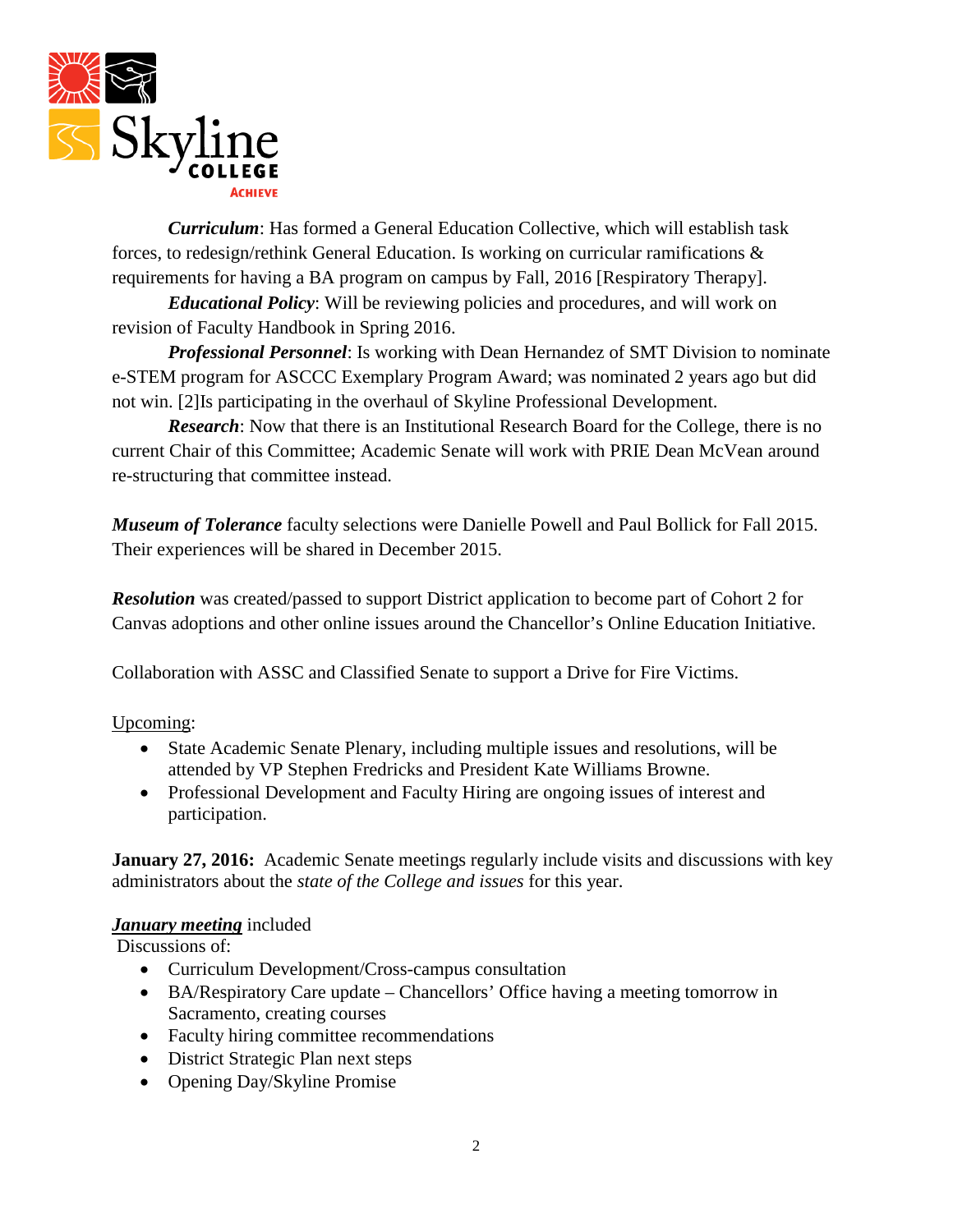

*Curriculum*: Has formed a General Education Collective, which will establish task forces, to redesign/rethink General Education. Is working on curricular ramifications & requirements for having a BA program on campus by Fall, 2016 [Respiratory Therapy].

*Educational Policy*: Will be reviewing policies and procedures, and will work on revision of Faculty Handbook in Spring 2016.

*Professional Personnel*: Is working with Dean Hernandez of SMT Division to nominate e-STEM program for ASCCC Exemplary Program Award; was nominated 2 years ago but did not win. [2]Is participating in the overhaul of Skyline Professional Development.

*Research*: Now that there is an Institutional Research Board for the College, there is no current Chair of this Committee; Academic Senate will work with PRIE Dean McVean around re-structuring that committee instead.

*Museum of Tolerance* faculty selections were Danielle Powell and Paul Bollick for Fall 2015. Their experiences will be shared in December 2015.

*Resolution* was created/passed to support District application to become part of Cohort 2 for Canvas adoptions and other online issues around the Chancellor's Online Education Initiative.

Collaboration with ASSC and Classified Senate to support a Drive for Fire Victims.

Upcoming:

- State Academic Senate Plenary, including multiple issues and resolutions, will be attended by VP Stephen Fredricks and President Kate Williams Browne.
- Professional Development and Faculty Hiring are ongoing issues of interest and participation.

**January 27, 2016:** Academic Senate meetings regularly include visits and discussions with key administrators about the *state of the College and issues* for this year.

### *January meeting* included

Discussions of:

- Curriculum Development/Cross-campus consultation
- BA/Respiratory Care update Chancellors' Office having a meeting tomorrow in Sacramento, creating courses
- Faculty hiring committee recommendations
- District Strategic Plan next steps
- Opening Day/Skyline Promise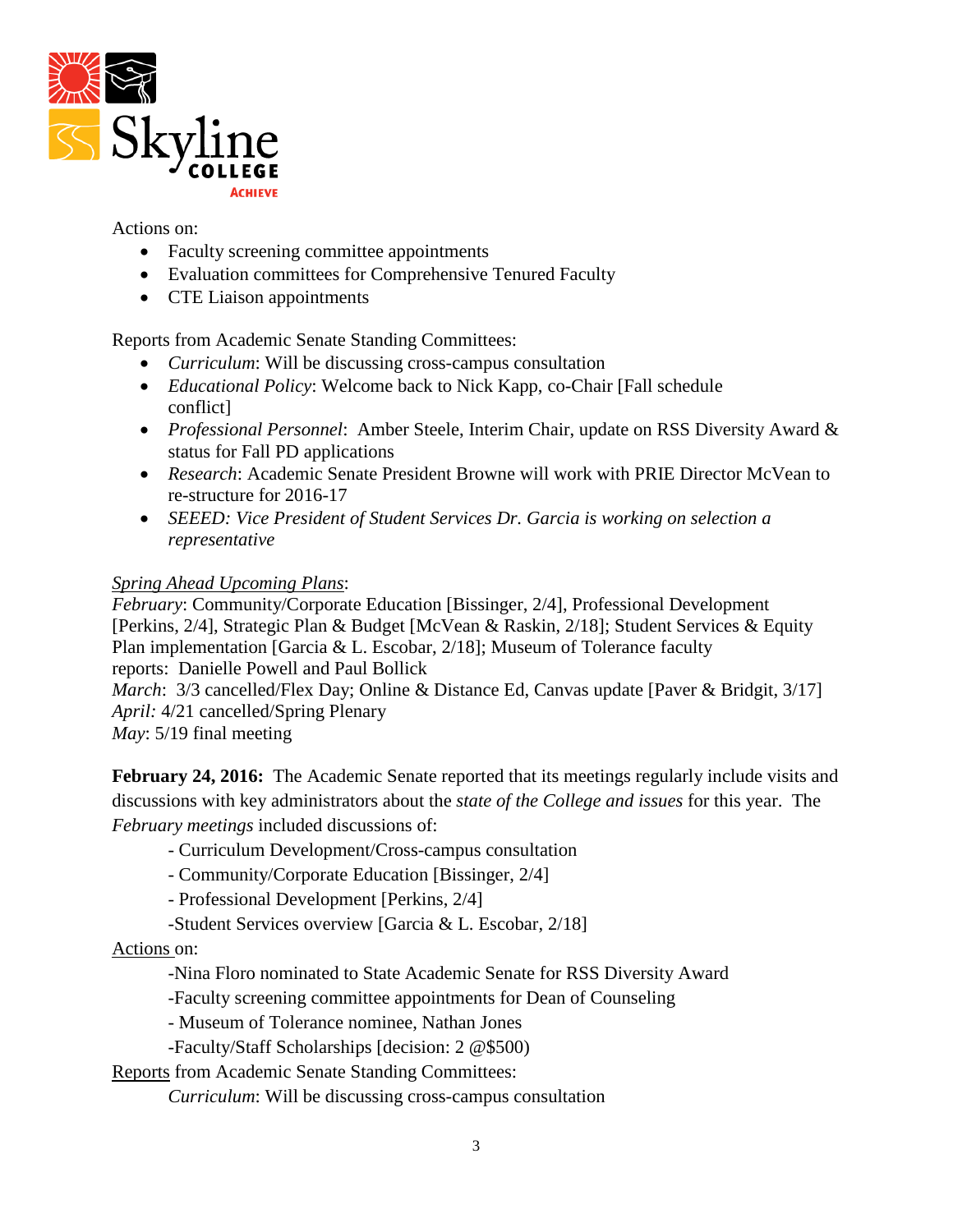

Actions on:

- Faculty screening committee appointments
- Evaluation committees for Comprehensive Tenured Faculty
- CTE Liaison appointments

Reports from Academic Senate Standing Committees:

- *Curriculum*: Will be discussing cross-campus consultation
- *Educational Policy*: Welcome back to Nick Kapp, co-Chair [Fall schedule conflict]
- *Professional Personnel*: Amber Steele, Interim Chair, update on RSS Diversity Award & status for Fall PD applications
- *Research*: Academic Senate President Browne will work with PRIE Director McVean to re-structure for 2016-17
- *SEEED: Vice President of Student Services Dr. Garcia is working on selection a representative*

### *Spring Ahead Upcoming Plans*:

*February*: Community/Corporate Education [Bissinger, 2/4], Professional Development [Perkins, 2/4], Strategic Plan & Budget [McVean & Raskin, 2/18]; Student Services & Equity Plan implementation [Garcia & L. Escobar, 2/18]; Museum of Tolerance faculty reports: Danielle Powell and Paul Bollick

*March*: 3/3 cancelled/Flex Day; Online & Distance Ed, Canvas update [Paver & Bridgit, 3/17] *April:* 4/21 cancelled/Spring Plenary

*May*: 5/19 final meeting

**February 24, 2016:** The Academic Senate reported that its meetings regularly include visits and discussions with key administrators about the *state of the College and issues* for this year. The *February meetings* included discussions of:

- Curriculum Development/Cross-campus consultation
- Community/Corporate Education [Bissinger, 2/4]
- Professional Development [Perkins, 2/4]
- -Student Services overview [Garcia & L. Escobar, 2/18]

#### Actions on:

-Nina Floro nominated to State Academic Senate for RSS Diversity Award

-Faculty screening committee appointments for Dean of Counseling

- Museum of Tolerance nominee, Nathan Jones

-Faculty/Staff Scholarships [decision: 2 @\$500)

Reports from Academic Senate Standing Committees:

*Curriculum*: Will be discussing cross-campus consultation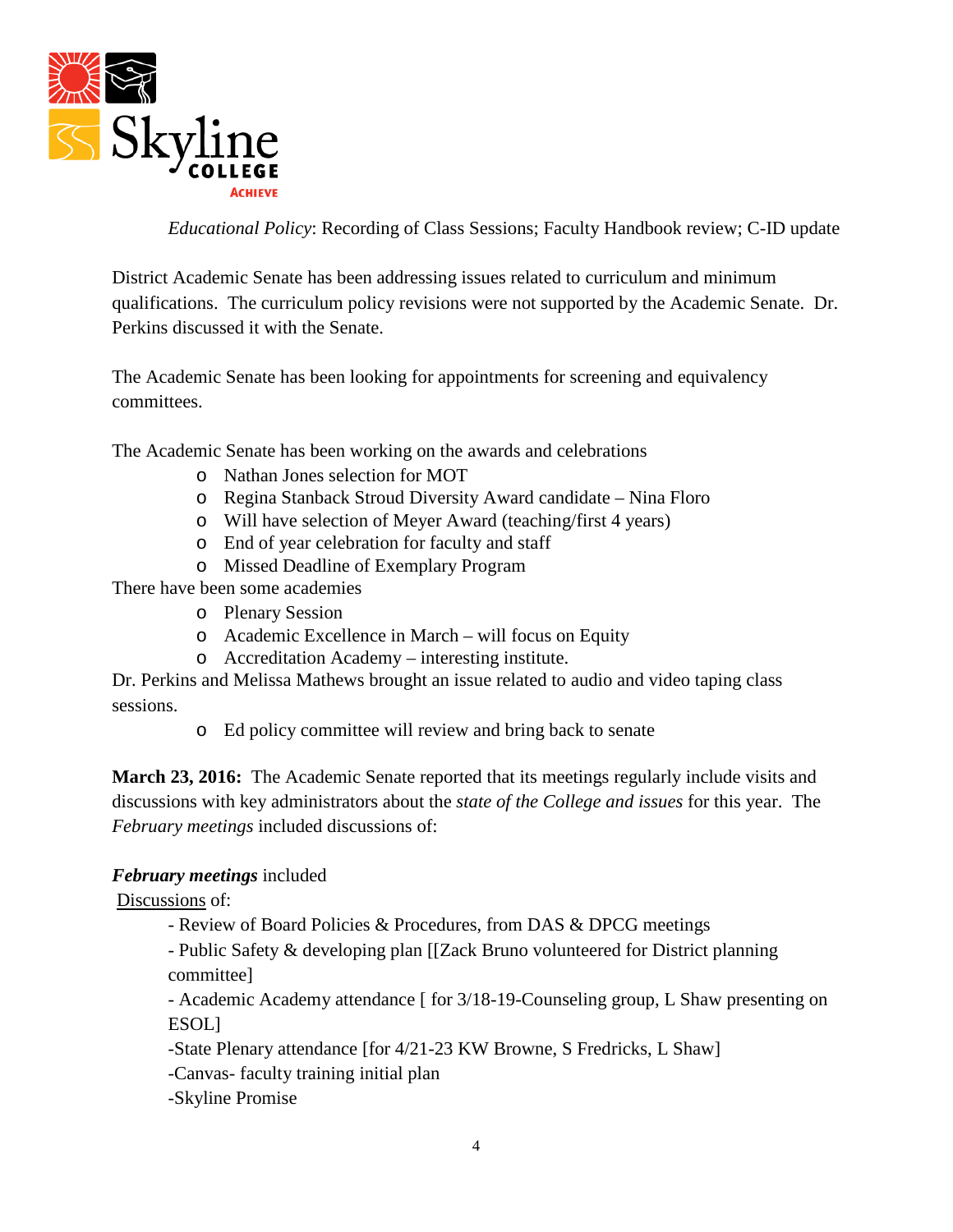

*Educational Policy*: Recording of Class Sessions; Faculty Handbook review; C-ID update

District Academic Senate has been addressing issues related to curriculum and minimum qualifications. The curriculum policy revisions were not supported by the Academic Senate. Dr. Perkins discussed it with the Senate.

The Academic Senate has been looking for appointments for screening and equivalency committees.

The Academic Senate has been working on the awards and celebrations

- o Nathan Jones selection for MOT
- o Regina Stanback Stroud Diversity Award candidate Nina Floro
- o Will have selection of Meyer Award (teaching/first 4 years)
- o End of year celebration for faculty and staff
- o Missed Deadline of Exemplary Program

There have been some academies

- o Plenary Session
- o Academic Excellence in March will focus on Equity
- o Accreditation Academy interesting institute.

Dr. Perkins and Melissa Mathews brought an issue related to audio and video taping class sessions.

o Ed policy committee will review and bring back to senate

**March 23, 2016:** The Academic Senate reported that its meetings regularly include visits and discussions with key administrators about the *state of the College and issues* for this year. The *February meetings* included discussions of:

### *February meetings* included

Discussions of:

- Review of Board Policies & Procedures, from DAS & DPCG meetings

- Public Safety & developing plan [[Zack Bruno volunteered for District planning committee]

- Academic Academy attendance [ for 3/18-19-Counseling group, L Shaw presenting on ESOL]

-State Plenary attendance [for 4/21-23 KW Browne, S Fredricks, L Shaw]

-Canvas- faculty training initial plan

-Skyline Promise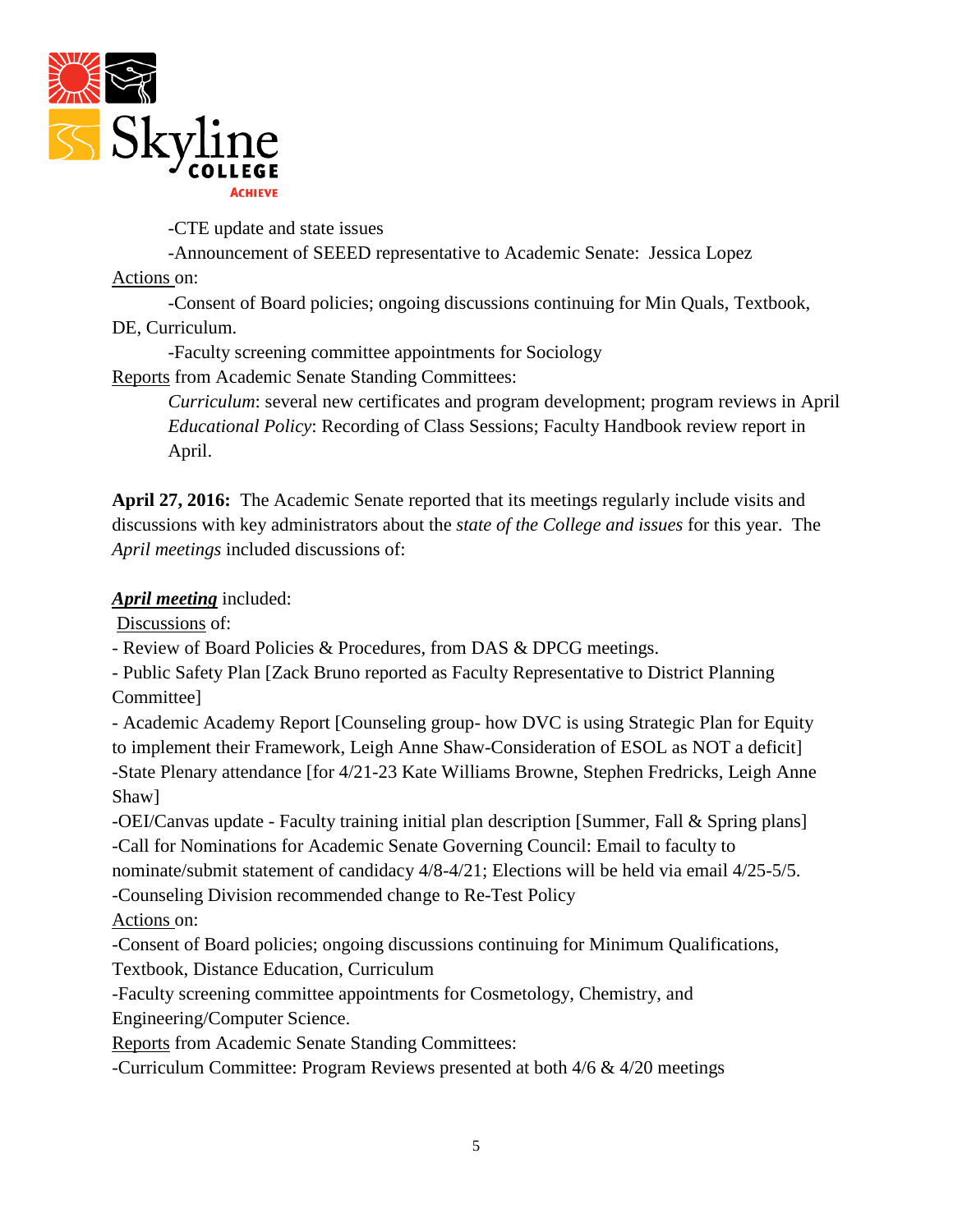

-CTE update and state issues

-Announcement of SEEED representative to Academic Senate: Jessica Lopez

Actions on:

-Consent of Board policies; ongoing discussions continuing for Min Quals, Textbook, DE, Curriculum.

-Faculty screening committee appointments for Sociology

Reports from Academic Senate Standing Committees:

*Curriculum*: several new certificates and program development; program reviews in April *Educational Policy*: Recording of Class Sessions; Faculty Handbook review report in April.

**April 27, 2016:** The Academic Senate reported that its meetings regularly include visits and discussions with key administrators about the *state of the College and issues* for this year. The *April meetings* included discussions of:

*April meeting* included:

Discussions of:

- Review of Board Policies & Procedures, from DAS & DPCG meetings.

- Public Safety Plan [Zack Bruno reported as Faculty Representative to District Planning Committee]

- Academic Academy Report [Counseling group- how DVC is using Strategic Plan for Equity to implement their Framework, Leigh Anne Shaw-Consideration of ESOL as NOT a deficit] -State Plenary attendance [for 4/21-23 Kate Williams Browne, Stephen Fredricks, Leigh Anne Shaw]

-OEI/Canvas update - Faculty training initial plan description [Summer, Fall & Spring plans] -Call for Nominations for Academic Senate Governing Council: Email to faculty to nominate/submit statement of candidacy 4/8-4/21; Elections will be held via email 4/25-5/5. -Counseling Division recommended change to Re-Test Policy

Actions on:

-Consent of Board policies; ongoing discussions continuing for Minimum Qualifications, Textbook, Distance Education, Curriculum

-Faculty screening committee appointments for Cosmetology, Chemistry, and Engineering/Computer Science.

Reports from Academic Senate Standing Committees:

-Curriculum Committee: Program Reviews presented at both 4/6 & 4/20 meetings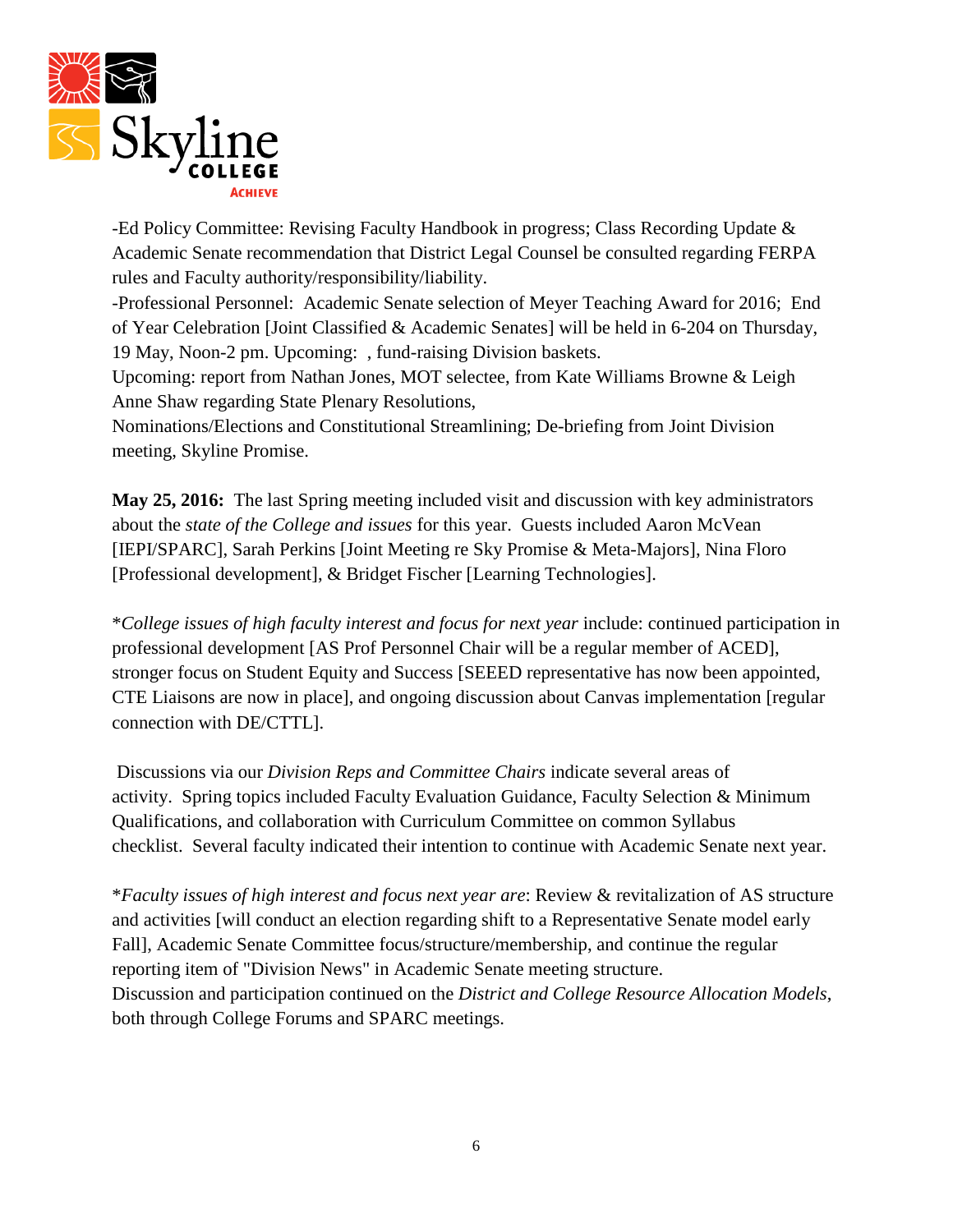

-Ed Policy Committee: Revising Faculty Handbook in progress; Class Recording Update & Academic Senate recommendation that District Legal Counsel be consulted regarding FERPA rules and Faculty authority/responsibility/liability.

-Professional Personnel: Academic Senate selection of Meyer Teaching Award for 2016; End of Year Celebration [Joint Classified & Academic Senates] will be held in 6-204 on Thursday, 19 May, Noon-2 pm. Upcoming: , fund-raising Division baskets.

Upcoming: report from Nathan Jones, MOT selectee, from Kate Williams Browne & Leigh Anne Shaw regarding State Plenary Resolutions,

Nominations/Elections and Constitutional Streamlining; De-briefing from Joint Division meeting, Skyline Promise.

**May 25, 2016:** The last Spring meeting included visit and discussion with key administrators about the *state of the College and issues* for this year. Guests included Aaron McVean [IEPI/SPARC], Sarah Perkins [Joint Meeting re Sky Promise & Meta-Majors], Nina Floro [Professional development], & Bridget Fischer [Learning Technologies].

\**College issues of high faculty interest and focus for next year* include: continued participation in professional development [AS Prof Personnel Chair will be a regular member of ACED], stronger focus on Student Equity and Success [SEEED representative has now been appointed, CTE Liaisons are now in place], and ongoing discussion about Canvas implementation [regular connection with DE/CTTL].

Discussions via our *Division Reps and Committee Chairs* indicate several areas of activity. Spring topics included Faculty Evaluation Guidance, Faculty Selection & Minimum Qualifications, and collaboration with Curriculum Committee on common Syllabus checklist. Several faculty indicated their intention to continue with Academic Senate next year.

\**Faculty issues of high interest and focus next year are*: Review & revitalization of AS structure and activities [will conduct an election regarding shift to a Representative Senate model early Fall], Academic Senate Committee focus/structure/membership, and continue the regular reporting item of "Division News" in Academic Senate meeting structure. Discussion and participation continued on the *District and College Resource Allocation Models*, both through College Forums and SPARC meetings.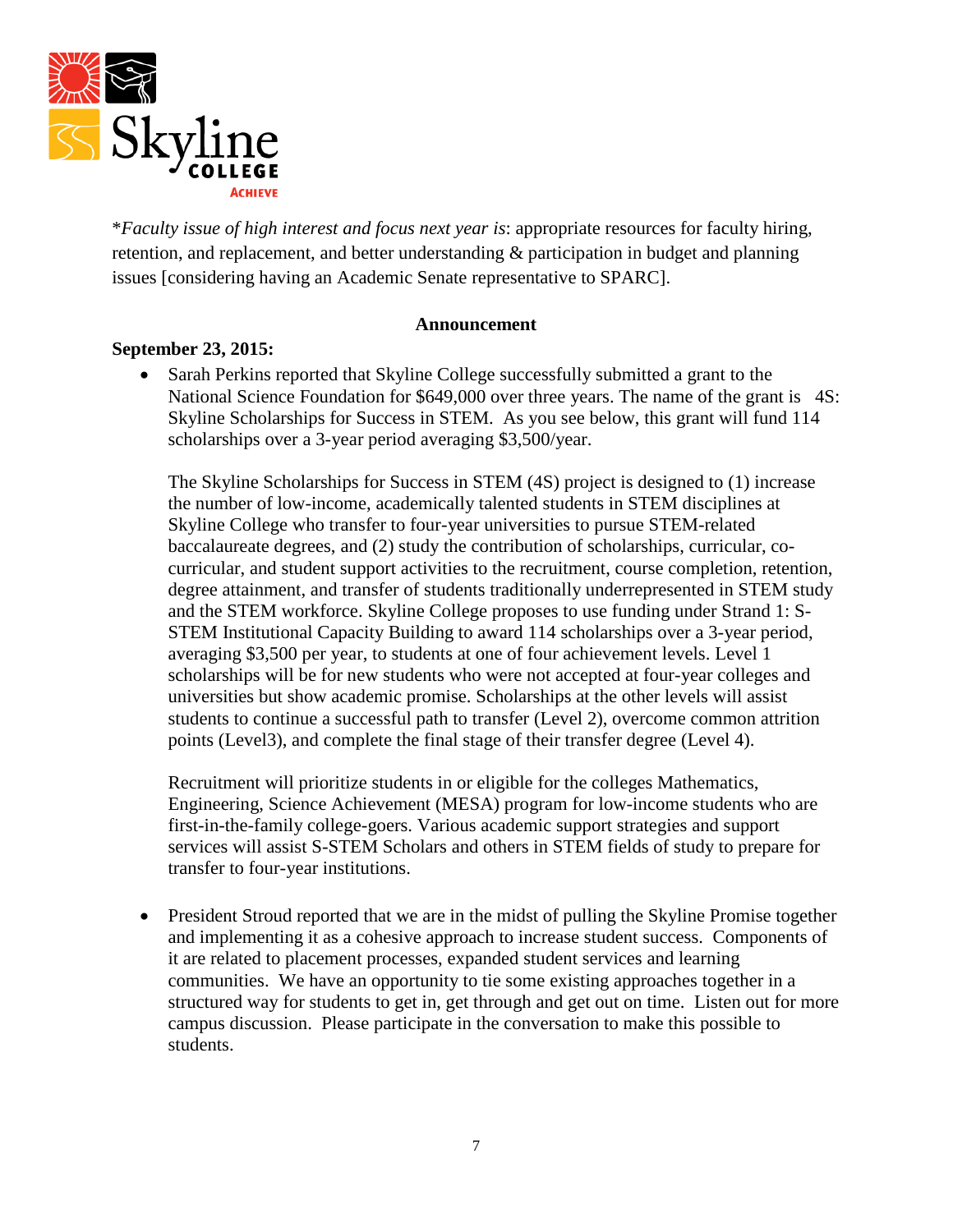

\**Faculty issue of high interest and focus next year is*: appropriate resources for faculty hiring, retention, and replacement, and better understanding & participation in budget and planning issues [considering having an Academic Senate representative to SPARC].

#### **Announcement**

### **September 23, 2015:**

• Sarah Perkins reported that Skyline College successfully submitted a grant to the National Science Foundation for \$649,000 over three years. The name of the grant is 4S: Skyline Scholarships for Success in STEM. As you see below, this grant will fund 114 scholarships over a 3-year period averaging \$3,500/year.

The Skyline Scholarships for Success in STEM (4S) project is designed to (1) increase the number of low-income, academically talented students in STEM disciplines at Skyline College who transfer to four-year universities to pursue STEM-related baccalaureate degrees, and (2) study the contribution of scholarships, curricular, cocurricular, and student support activities to the recruitment, course completion, retention, degree attainment, and transfer of students traditionally underrepresented in STEM study and the STEM workforce. Skyline College proposes to use funding under Strand 1: S-STEM Institutional Capacity Building to award 114 scholarships over a 3-year period, averaging \$3,500 per year, to students at one of four achievement levels. Level 1 scholarships will be for new students who were not accepted at four-year colleges and universities but show academic promise. Scholarships at the other levels will assist students to continue a successful path to transfer (Level 2), overcome common attrition points (Level3), and complete the final stage of their transfer degree (Level 4).

Recruitment will prioritize students in or eligible for the colleges Mathematics, Engineering, Science Achievement (MESA) program for low-income students who are first-in-the-family college-goers. Various academic support strategies and support services will assist S-STEM Scholars and others in STEM fields of study to prepare for transfer to four-year institutions.

• President Stroud reported that we are in the midst of pulling the Skyline Promise together and implementing it as a cohesive approach to increase student success. Components of it are related to placement processes, expanded student services and learning communities. We have an opportunity to tie some existing approaches together in a structured way for students to get in, get through and get out on time. Listen out for more campus discussion. Please participate in the conversation to make this possible to students.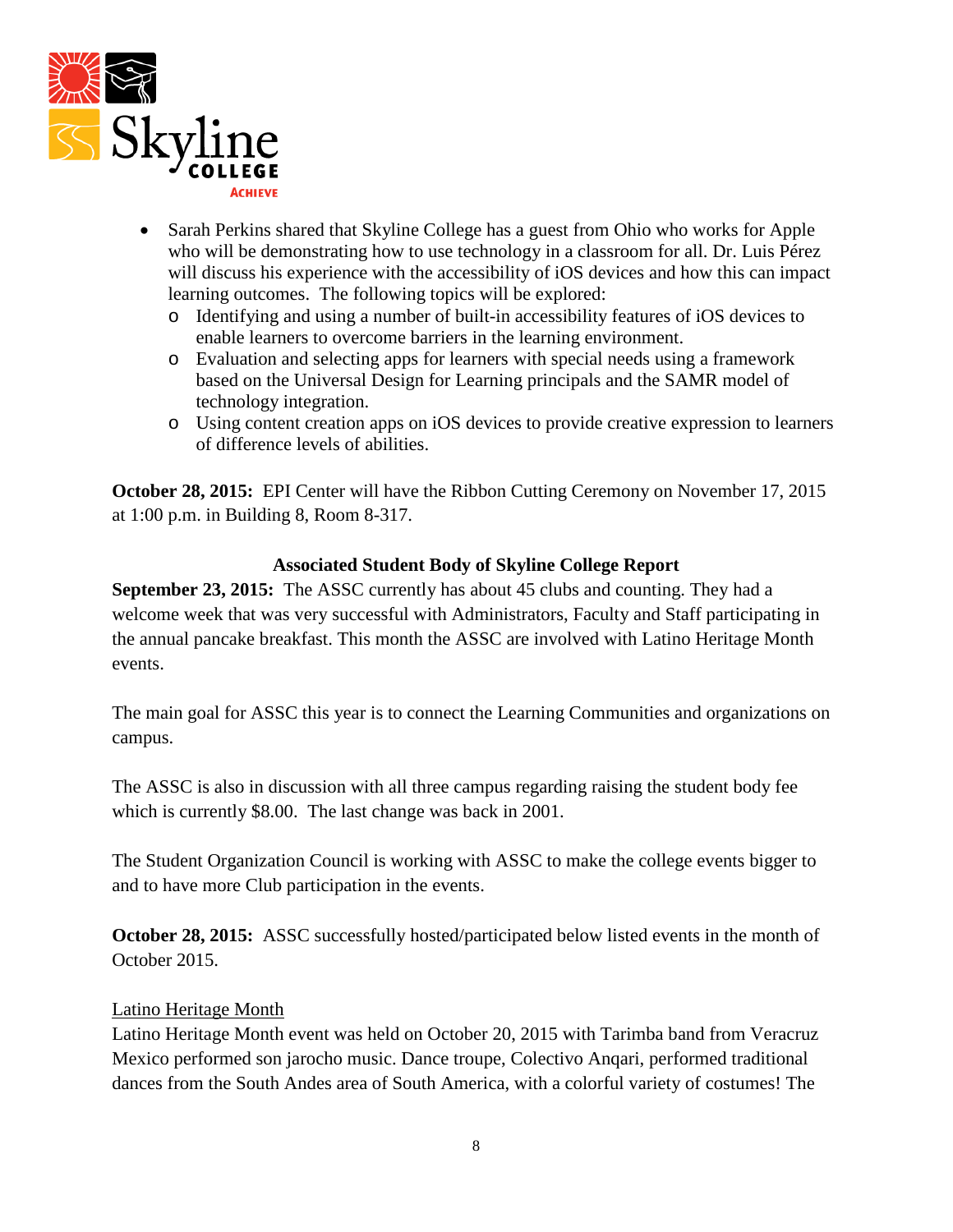

- Sarah Perkins shared that Skyline College has a guest from Ohio who works for Apple who will be demonstrating how to use technology in a classroom for all. Dr. Luis Pérez will discuss his experience with the accessibility of iOS devices and how this can impact learning outcomes. The following topics will be explored:
	- o Identifying and using a number of built-in accessibility features of iOS devices to enable learners to overcome barriers in the learning environment.
	- o Evaluation and selecting apps for learners with special needs using a framework based on the Universal Design for Learning principals and the SAMR model of technology integration.
	- o Using content creation apps on iOS devices to provide creative expression to learners of difference levels of abilities.

**October 28, 2015:** EPI Center will have the Ribbon Cutting Ceremony on November 17, 2015 at 1:00 p.m. in Building 8, Room 8-317.

### **Associated Student Body of Skyline College Report**

**September 23, 2015:** The ASSC currently has about 45 clubs and counting. They had a welcome week that was very successful with Administrators, Faculty and Staff participating in the annual pancake breakfast. This month the ASSC are involved with Latino Heritage Month events.

The main goal for ASSC this year is to connect the Learning Communities and organizations on campus.

The ASSC is also in discussion with all three campus regarding raising the student body fee which is currently \$8.00. The last change was back in 2001.

The Student Organization Council is working with ASSC to make the college events bigger to and to have more Club participation in the events.

**October 28, 2015:** ASSC successfully hosted/participated below listed events in the month of October 2015.

### Latino Heritage Month

Latino Heritage Month event was held on October 20, 2015 with Tarimba band from Veracruz Mexico performed son jarocho music. Dance troupe, Colectivo Anqari, performed traditional dances from the South Andes area of South America, with a colorful variety of costumes! The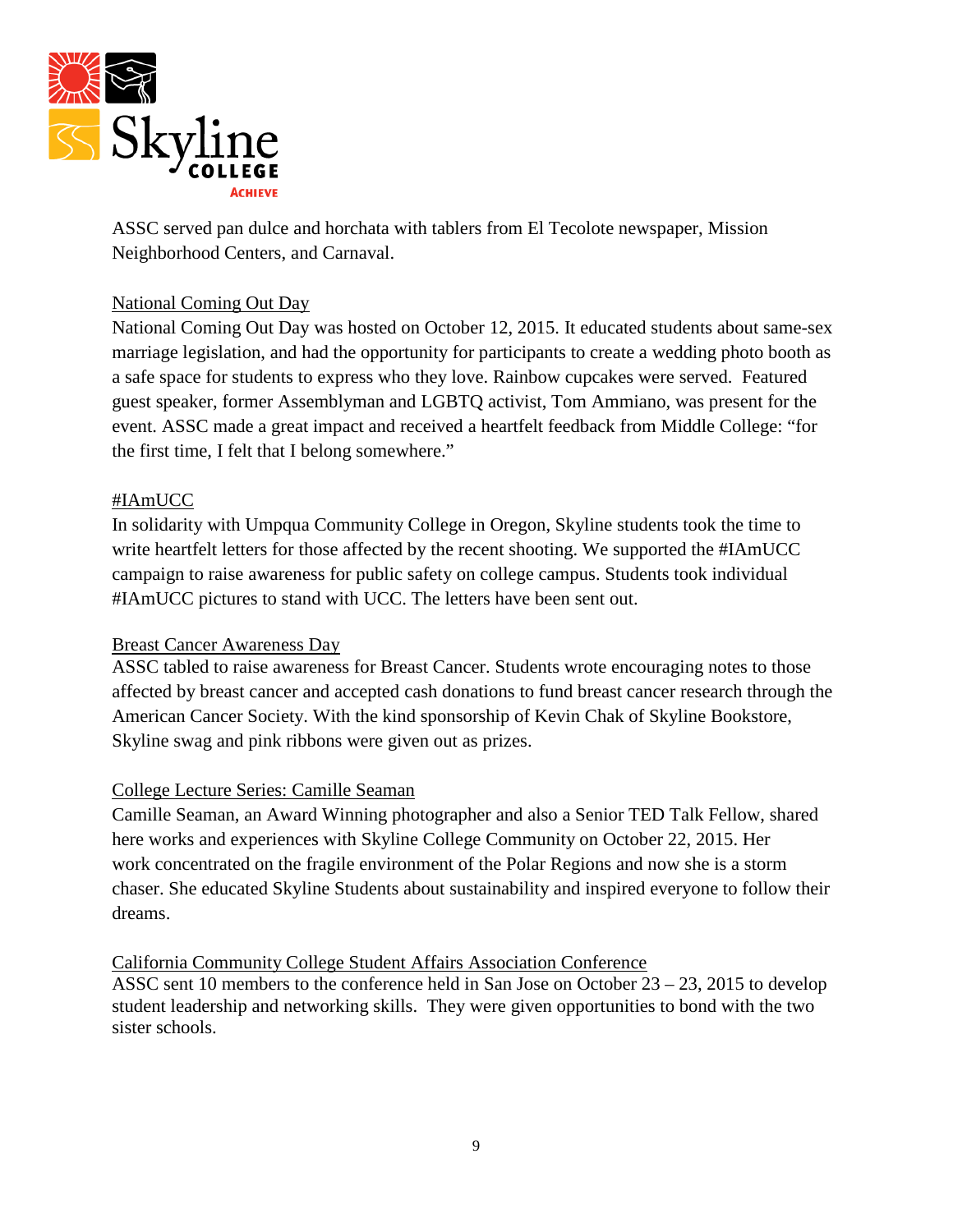

ASSC served pan dulce and horchata with tablers from El Tecolote newspaper, Mission Neighborhood Centers, and Carnaval.

### National Coming Out Day

National Coming Out Day was hosted on October 12, 2015. It educated students about same-sex marriage legislation, and had the opportunity for participants to create a wedding photo booth as a safe space for students to express who they love. Rainbow cupcakes were served. Featured guest speaker, former Assemblyman and LGBTQ activist, Tom Ammiano, was present for the event. ASSC made a great impact and received a heartfelt feedback from Middle College: "for the first time, I felt that I belong somewhere."

### #IAmUCC

In solidarity with Umpqua Community College in Oregon, Skyline students took the time to write heartfelt letters for those affected by the recent shooting. We supported the #IAmUCC campaign to raise awareness for public safety on college campus. Students took individual #IAmUCC pictures to stand with UCC. The letters have been sent out.

#### Breast Cancer Awareness Day

ASSC tabled to raise awareness for Breast Cancer. Students wrote encouraging notes to those affected by breast cancer and accepted cash donations to fund breast cancer research through the American Cancer Society. With the kind sponsorship of Kevin Chak of Skyline Bookstore, Skyline swag and pink ribbons were given out as prizes.

#### College Lecture Series: Camille Seaman

Camille Seaman, an Award Winning photographer and also a Senior TED Talk Fellow, shared here works and experiences with Skyline College Community on October 22, 2015. Her work concentrated on the fragile environment of the Polar Regions and now she is a storm chaser. She educated Skyline Students about sustainability and inspired everyone to follow their dreams.

California Community College Student Affairs Association Conference ASSC sent 10 members to the conference held in San Jose on October 23 – 23, 2015 to develop student leadership and networking skills. They were given opportunities to bond with the two sister schools.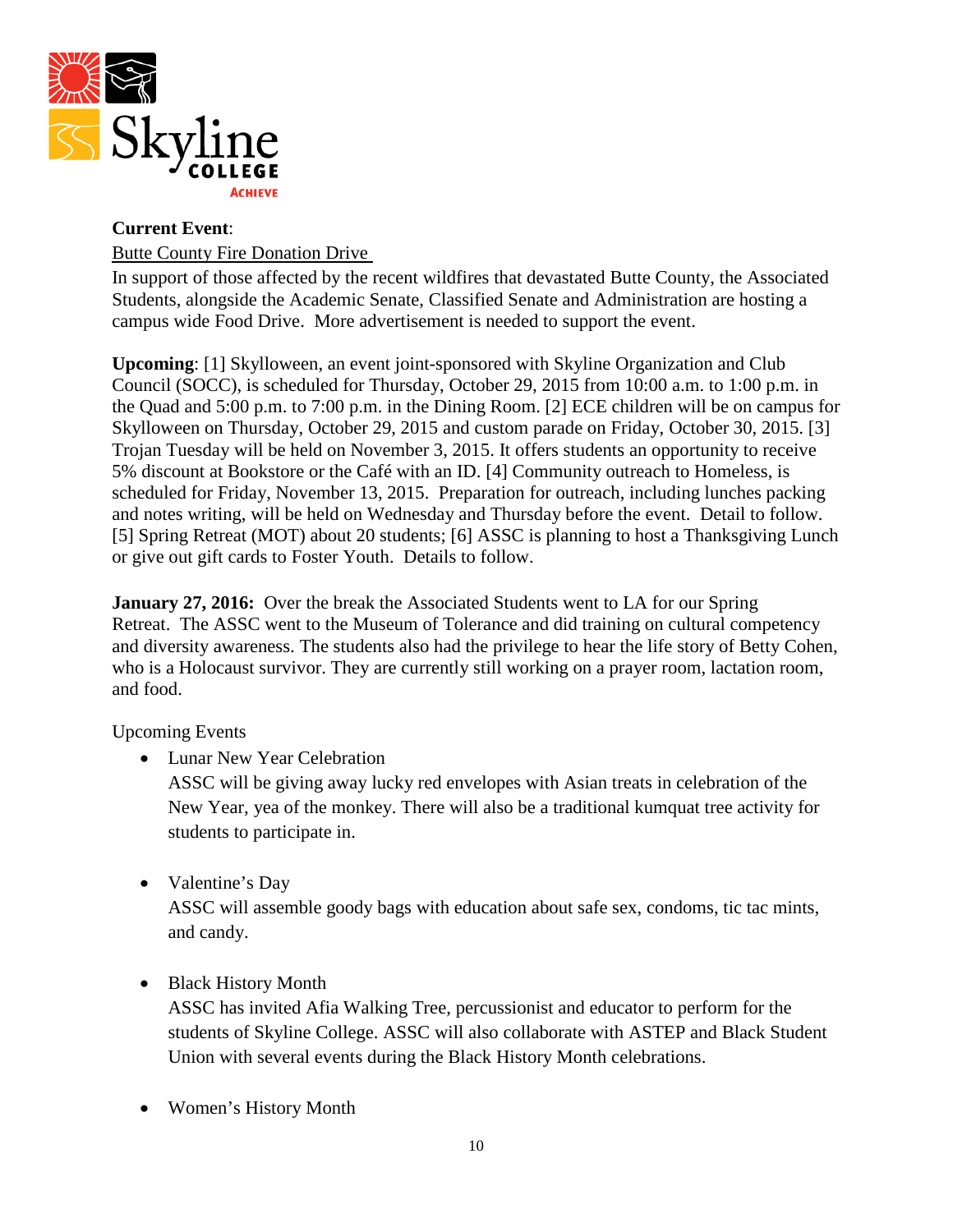

## **Current Event**: Butte County Fire Donation Drive

In support of those affected by the recent wildfires that devastated Butte County, the Associated Students, alongside the Academic Senate, Classified Senate and Administration are hosting a campus wide Food Drive. More advertisement is needed to support the event.

**Upcoming**: [1] Skylloween, an event joint-sponsored with Skyline Organization and Club Council (SOCC), is scheduled for Thursday, October 29, 2015 from 10:00 a.m. to 1:00 p.m. in the Quad and 5:00 p.m. to 7:00 p.m. in the Dining Room. [2] ECE children will be on campus for Skylloween on Thursday, October 29, 2015 and custom parade on Friday, October 30, 2015. [3] Trojan Tuesday will be held on November 3, 2015. It offers students an opportunity to receive 5% discount at Bookstore or the Café with an ID. [4] Community outreach to Homeless, is scheduled for Friday, November 13, 2015. Preparation for outreach, including lunches packing and notes writing, will be held on Wednesday and Thursday before the event. Detail to follow. [5] Spring Retreat (MOT) about 20 students; [6] ASSC is planning to host a Thanksgiving Lunch or give out gift cards to Foster Youth. Details to follow.

**January 27, 2016:** Over the break the Associated Students went to LA for our Spring Retreat. The ASSC went to the Museum of Tolerance and did training on cultural competency and diversity awareness. The students also had the privilege to hear the life story of Betty Cohen, who is a Holocaust survivor. They are currently still working on a prayer room, lactation room, and food.

Upcoming Events

• Lunar New Year Celebration

ASSC will be giving away lucky red envelopes with Asian treats in celebration of the New Year, yea of the monkey. There will also be a traditional kumquat tree activity for students to participate in.

• Valentine's Day

ASSC will assemble goody bags with education about safe sex, condoms, tic tac mints, and candy.

• Black History Month

ASSC has invited Afia Walking Tree, percussionist and educator to perform for the students of Skyline College. ASSC will also collaborate with ASTEP and Black Student Union with several events during the Black History Month celebrations.

• Women's History Month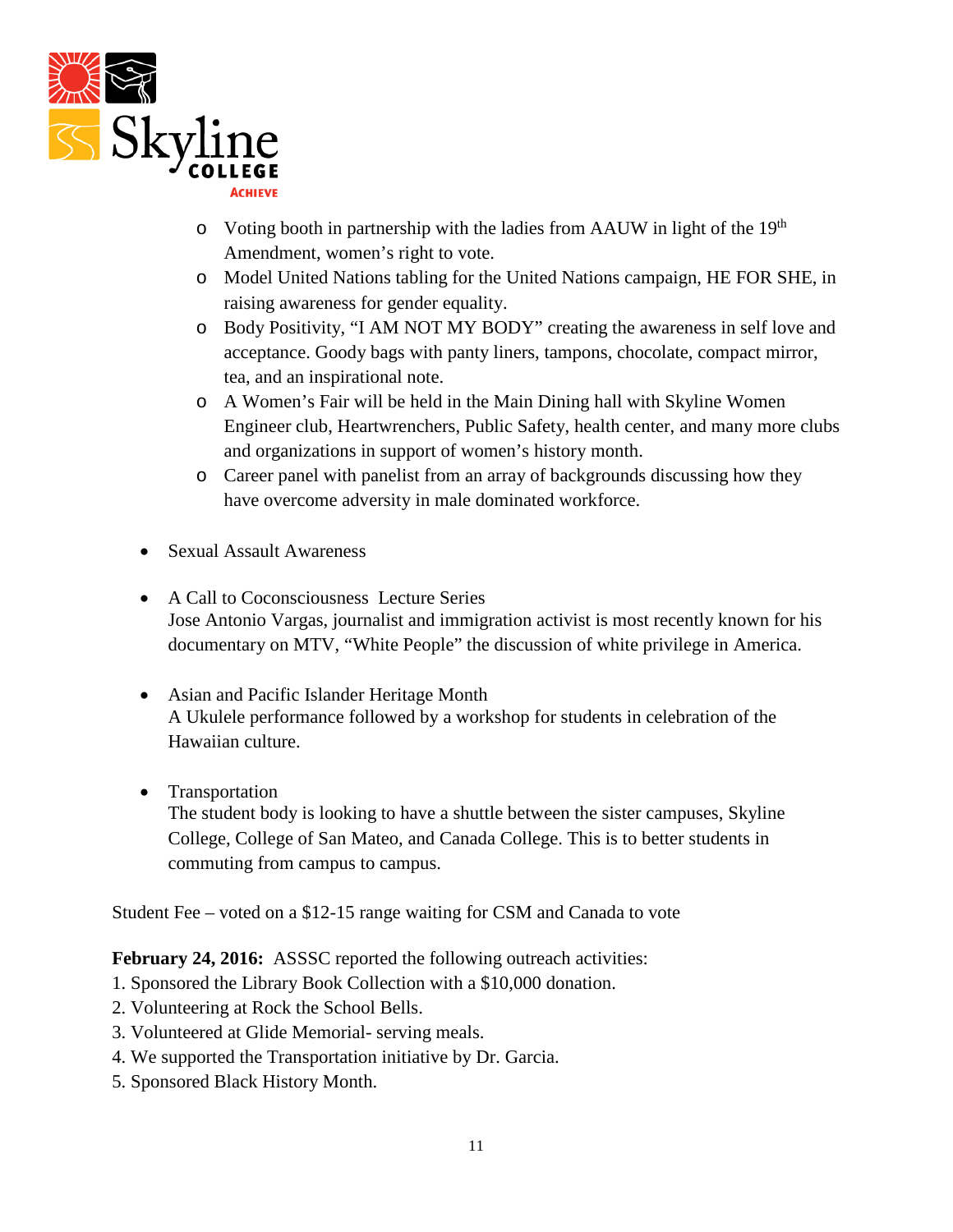

- $\circ$  Voting booth in partnership with the ladies from AAUW in light of the 19<sup>th</sup> Amendment, women's right to vote.
- o Model United Nations tabling for the United Nations campaign, HE FOR SHE, in raising awareness for gender equality.
- o Body Positivity, "I AM NOT MY BODY" creating the awareness in self love and acceptance. Goody bags with panty liners, tampons, chocolate, compact mirror, tea, and an inspirational note.
- o A Women's Fair will be held in the Main Dining hall with Skyline Women Engineer club, Heartwrenchers, Public Safety, health center, and many more clubs and organizations in support of women's history month.
- o Career panel with panelist from an array of backgrounds discussing how they have overcome adversity in male dominated workforce.
- Sexual Assault Awareness
- A Call to Coconsciousness Lecture Series Jose Antonio Vargas, journalist and immigration activist is most recently known for his documentary on MTV, "White People" the discussion of white privilege in America.
- Asian and Pacific Islander Heritage Month A Ukulele performance followed by a workshop for students in celebration of the Hawaiian culture.
- Transportation

The student body is looking to have a shuttle between the sister campuses, Skyline College, College of San Mateo, and Canada College. This is to better students in commuting from campus to campus.

Student Fee – voted on a \$12-15 range waiting for CSM and Canada to vote

**February 24, 2016:** ASSSC reported the following outreach activities:

- 1. Sponsored the Library Book Collection with a \$10,000 donation.
- 2. Volunteering at Rock the School Bells.
- 3. Volunteered at Glide Memorial- serving meals.
- 4. We supported the Transportation initiative by Dr. Garcia.
- 5. Sponsored Black History Month.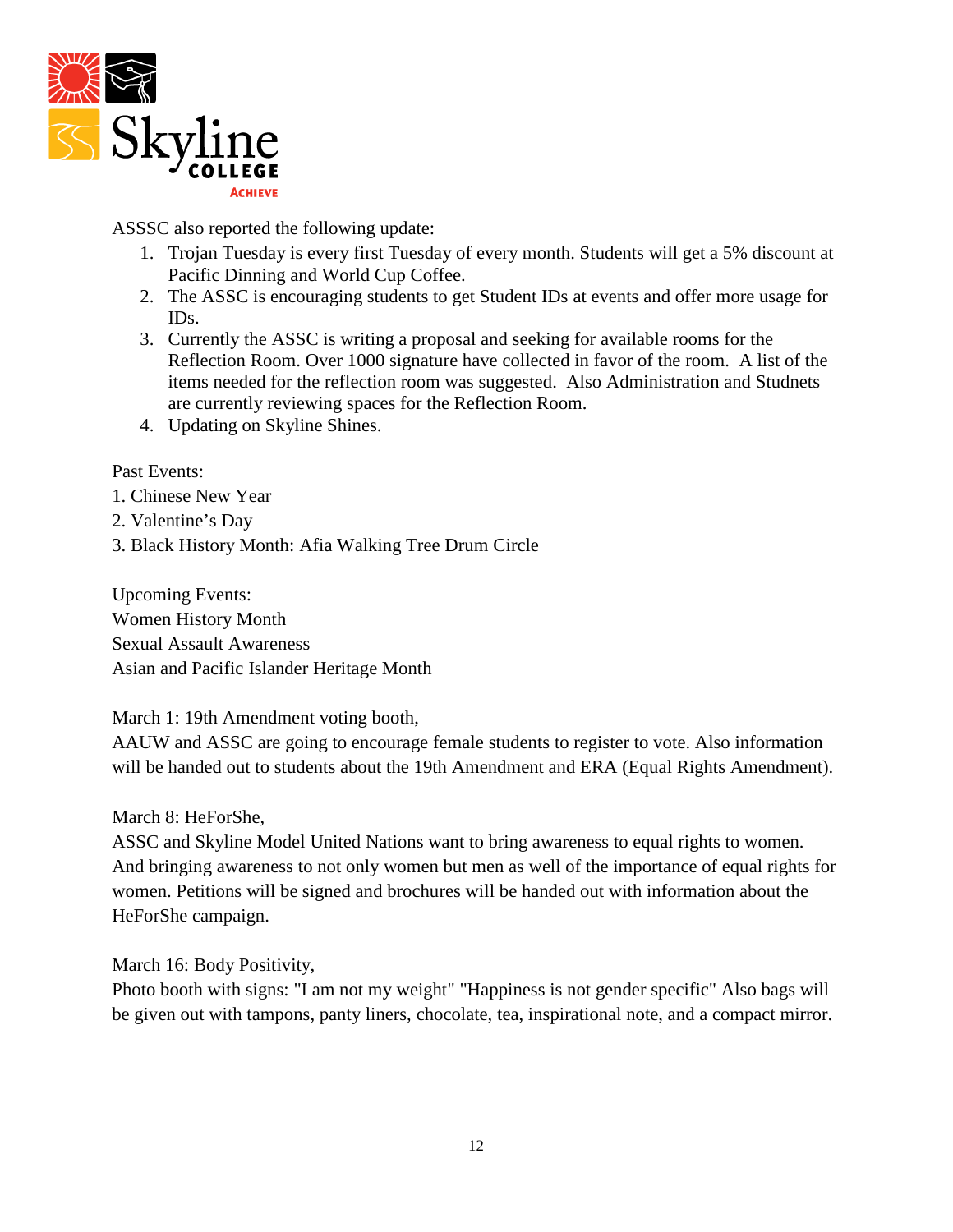

ASSSC also reported the following update:

- 1. Trojan Tuesday is every first Tuesday of every month. Students will get a 5% discount at Pacific Dinning and World Cup Coffee.
- 2. The ASSC is encouraging students to get Student IDs at events and offer more usage for IDs.
- 3. Currently the ASSC is writing a proposal and seeking for available rooms for the Reflection Room. Over 1000 signature have collected in favor of the room. A list of the items needed for the reflection room was suggested. Also Administration and Studnets are currently reviewing spaces for the Reflection Room.
- 4. Updating on Skyline Shines.

### Past Events:

- 1. Chinese New Year
- 2. Valentine's Day
- 3. Black History Month: Afia Walking Tree Drum Circle

Upcoming Events: Women History Month Sexual Assault Awareness Asian and Pacific Islander Heritage Month

#### March 1: 19th Amendment voting booth,

AAUW and ASSC are going to encourage female students to register to vote. Also information will be handed out to students about the 19th Amendment and ERA (Equal Rights Amendment).

March 8: HeForShe,

ASSC and Skyline Model United Nations want to bring awareness to equal rights to women. And bringing awareness to not only women but men as well of the importance of equal rights for women. Petitions will be signed and brochures will be handed out with information about the HeForShe campaign.

March 16: Body Positivity,

Photo booth with signs: "I am not my weight" "Happiness is not gender specific" Also bags will be given out with tampons, panty liners, chocolate, tea, inspirational note, and a compact mirror.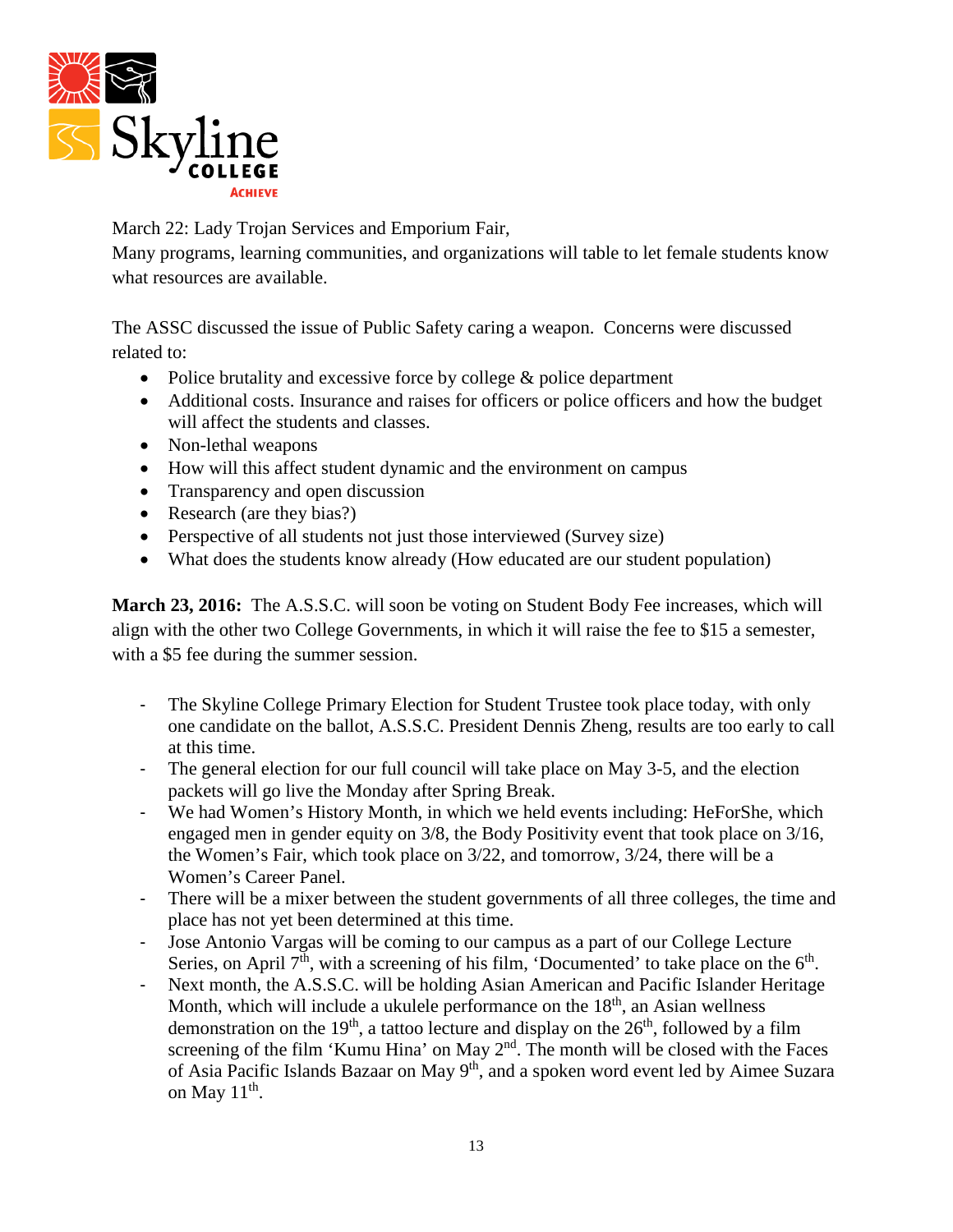

March 22: Lady Trojan Services and Emporium Fair,

Many programs, learning communities, and organizations will table to let female students know what resources are available.

The ASSC discussed the issue of Public Safety caring a weapon. Concerns were discussed related to:

- Police brutality and excessive force by college & police department
- Additional costs. Insurance and raises for officers or police officers and how the budget will affect the students and classes.
- Non-lethal weapons
- How will this affect student dynamic and the environment on campus
- Transparency and open discussion
- Research (are they bias?)
- Perspective of all students not just those interviewed (Survey size)
- What does the students know already (How educated are our student population)

**March 23, 2016:** The A.S.S.C. will soon be voting on Student Body Fee increases, which will align with the other two College Governments, in which it will raise the fee to \$15 a semester, with a \$5 fee during the summer session.

- The Skyline College Primary Election for Student Trustee took place today, with only one candidate on the ballot, A.S.S.C. President Dennis Zheng, results are too early to call at this time.
- The general election for our full council will take place on May 3-5, and the election packets will go live the Monday after Spring Break.
- We had Women's History Month, in which we held events including: HeForShe, which engaged men in gender equity on 3/8, the Body Positivity event that took place on 3/16, the Women's Fair, which took place on 3/22, and tomorrow, 3/24, there will be a Women's Career Panel.
- There will be a mixer between the student governments of all three colleges, the time and place has not yet been determined at this time.
- Jose Antonio Vargas will be coming to our campus as a part of our College Lecture Series, on April  $7<sup>th</sup>$ , with a screening of his film, 'Documented' to take place on the  $6<sup>th</sup>$ .
- Next month, the A.S.S.C. will be holding Asian American and Pacific Islander Heritage Month, which will include a ukulele performance on the  $18<sup>th</sup>$ , an Asian wellness demonstration on the 19<sup>th</sup>, a tattoo lecture and display on the  $26<sup>th</sup>$ , followed by a film screening of the film 'Kumu Hina' on May  $2<sup>nd</sup>$ . The month will be closed with the Faces of Asia Pacific Islands Bazaar on May 9<sup>th</sup>, and a spoken word event led by Aimee Suzara on May  $11<sup>th</sup>$ .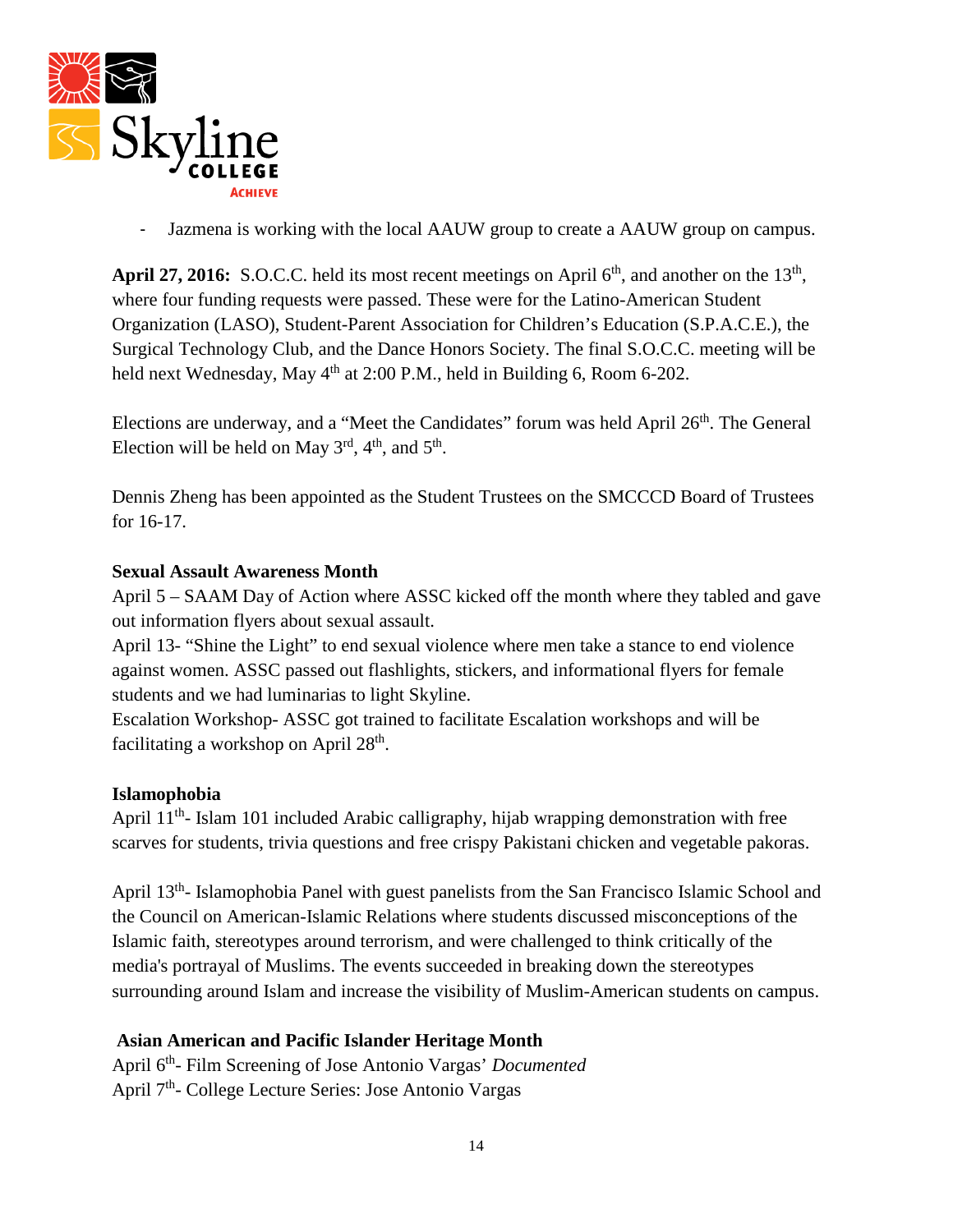

Jazmena is working with the local AAUW group to create a AAUW group on campus.

April 27, 2016: S.O.C.C. held its most recent meetings on April 6<sup>th</sup>, and another on the 13<sup>th</sup>, where four funding requests were passed. These were for the Latino-American Student Organization (LASO), Student-Parent Association for Children's Education (S.P.A.C.E.), the Surgical Technology Club, and the Dance Honors Society. The final S.O.C.C. meeting will be held next Wednesday, May  $4<sup>th</sup>$  at 2:00 P.M., held in Building 6, Room 6-202.

Elections are underway, and a "Meet the Candidates" forum was held April 26<sup>th</sup>. The General Election will be held on May  $3<sup>rd</sup>$ ,  $4<sup>th</sup>$ , and  $5<sup>th</sup>$ .

Dennis Zheng has been appointed as the Student Trustees on the SMCCCD Board of Trustees for 16-17.

### **Sexual Assault Awareness Month**

April 5 – SAAM Day of Action where ASSC kicked off the month where they tabled and gave out information flyers about sexual assault.

April 13- "Shine the Light" to end sexual violence where men take a stance to end violence against women. ASSC passed out flashlights, stickers, and informational flyers for female students and we had luminarias to light Skyline.

Escalation Workshop- ASSC got trained to facilitate Escalation workshops and will be facilitating a workshop on April  $28<sup>th</sup>$ .

#### **Islamophobia**

April 11th- Islam 101 included Arabic calligraphy, hijab wrapping demonstration with free scarves for students, trivia questions and free crispy Pakistani chicken and vegetable pakoras.

April 13th- Islamophobia Panel with guest panelists from the San Francisco Islamic School and the Council on American-Islamic Relations where students discussed misconceptions of the Islamic faith, stereotypes around terrorism, and were challenged to think critically of the media's portrayal of Muslims. The events succeeded in breaking down the stereotypes surrounding around Islam and increase the visibility of Muslim-American students on campus.

### **Asian American and Pacific Islander Heritage Month**

April 6th- Film Screening of Jose Antonio Vargas' *Documented*  April 7<sup>th</sup>- College Lecture Series: Jose Antonio Vargas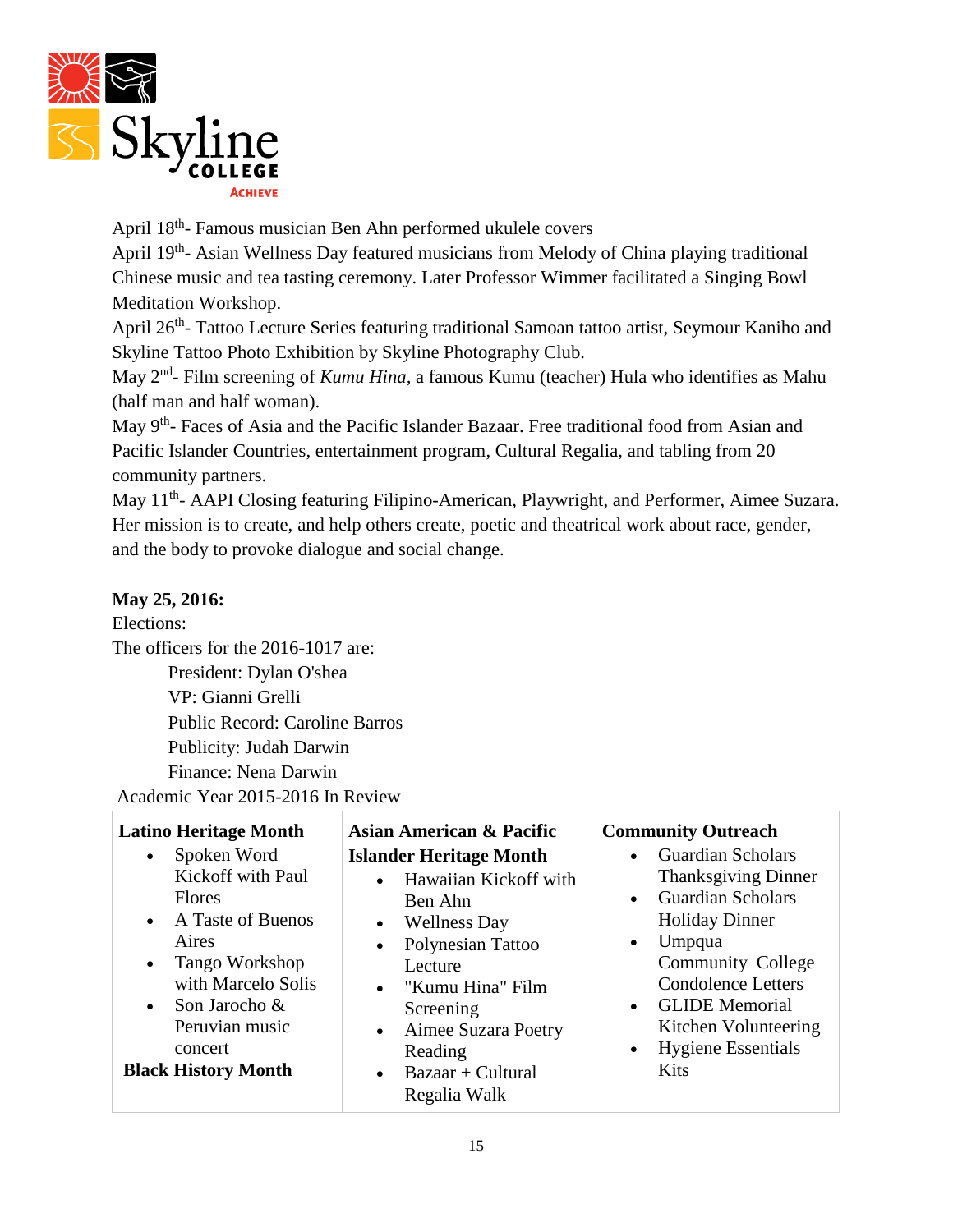

April 18th- Famous musician Ben Ahn performed ukulele covers

April 19<sup>th</sup>- Asian Wellness Day featured musicians from Melody of China playing traditional Chinese music and tea tasting ceremony. Later Professor Wimmer facilitated a Singing Bowl Meditation Workshop.

April 26<sup>th</sup>- Tattoo Lecture Series featuring traditional Samoan tattoo artist, Seymour Kaniho and Skyline Tattoo Photo Exhibition by Skyline Photography Club.

May 2nd- Film screening of *Kumu Hina,* a famous Kumu (teacher) Hula who identifies as Mahu (half man and half woman).

May 9<sup>th</sup>- Faces of Asia and the Pacific Islander Bazaar. Free traditional food from Asian and Pacific Islander Countries, entertainment program, Cultural Regalia, and tabling from 20 community partners.

May 11<sup>th</sup>- AAPI Closing featuring Filipino-American, Playwright, and Performer, Aimee Suzara. Her mission is to create, and help others create, poetic and theatrical work about race, gender, and the body to provoke dialogue and social change.

# **May 25, 2016:**

### Elections:

The officers for the 2016-1017 are: President: Dylan O'shea VP: Gianni Grelli Public Record: Caroline Barros Publicity: Judah Darwin Finance: Nena Darwin Academic Year 2015-2016 In Review

| <b>Latino Heritage Month</b>                                                                                                                                                                                                                 | <b>Asian American &amp; Pacific</b>                                                                                                                                                                                                                                                                                 | <b>Community Outreach</b>                                                                                                                                                                                                                                                                                          |
|----------------------------------------------------------------------------------------------------------------------------------------------------------------------------------------------------------------------------------------------|---------------------------------------------------------------------------------------------------------------------------------------------------------------------------------------------------------------------------------------------------------------------------------------------------------------------|--------------------------------------------------------------------------------------------------------------------------------------------------------------------------------------------------------------------------------------------------------------------------------------------------------------------|
| Spoken Word<br>$\bullet$<br>Kickoff with Paul<br><b>Flores</b><br>• A Taste of Buenos<br>Aires<br>Tango Workshop<br>$\bullet$<br>with Marcelo Solis<br>Son Jarocho &<br>$\bullet$<br>Peruvian music<br>concert<br><b>Black History Month</b> | <b>Islander Heritage Month</b><br>Hawaiian Kickoff with<br>$\bullet$<br>Ben Ahn<br><b>Wellness Day</b><br>$\bullet$<br>Polynesian Tattoo<br>$\bullet$<br>Lecture<br>• "Kumu Hina" Film<br>Screening<br>Aimee Suzara Poetry<br>$\bullet$<br>Reading<br>$\text{Bazar} + \text{Cultural}$<br>$\bullet$<br>Regalia Walk | <b>Guardian Scholars</b><br><b>Thanksgiving Dinner</b><br><b>Guardian Scholars</b><br><b>Holiday Dinner</b><br>Umpqua<br>$\bullet$<br><b>Community College</b><br><b>Condolence Letters</b><br><b>GLIDE</b> Memorial<br>$\bullet$<br>Kitchen Volunteering<br><b>Hygiene Essentials</b><br>$\bullet$<br><b>Kits</b> |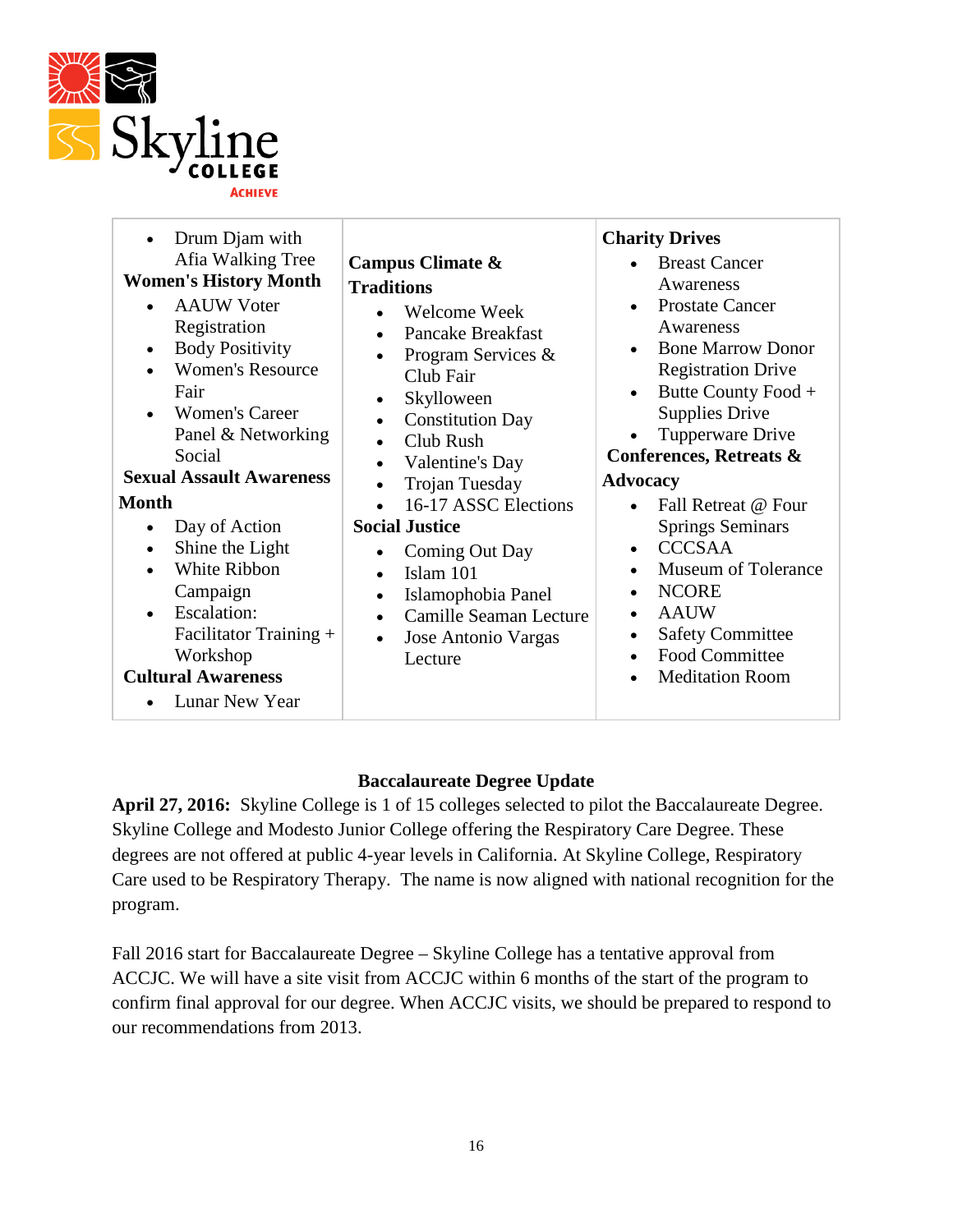

| Drum Djam with<br>Afia Walking Tree<br><b>Women's History Month</b><br><b>AAUW Voter</b><br>$\bullet$<br>Registration<br><b>Body Positivity</b><br>$\bullet$<br><b>Women's Resource</b><br>Fair<br><b>Women's Career</b><br>Panel & Networking<br>Social<br><b>Sexual Assault Awareness</b><br><b>Month</b><br>Day of Action<br>$\bullet$<br>Shine the Light<br>$\bullet$<br>White Ribbon<br>Campaign<br>Escalation:<br>$\bullet$<br>Facilitator Training +<br>Workshop<br><b>Cultural Awareness</b><br>Lunar New Year | Campus Climate &<br><b>Traditions</b><br>Welcome Week<br>$\bullet$<br><b>Pancake Breakfast</b><br>$\bullet$<br>Program Services &<br>$\bullet$<br>Club Fair<br>Skylloween<br>$\bullet$<br><b>Constitution Day</b><br>$\bullet$<br>Club Rush<br>$\bullet$<br>Valentine's Day<br>$\bullet$<br>Trojan Tuesday<br>$\bullet$<br>16-17 ASSC Elections<br><b>Social Justice</b><br>Coming Out Day<br>$\bullet$<br>Islam 101<br>$\bullet$<br>Islamophobia Panel<br>$\bullet$<br>Camille Seaman Lecture<br>$\bullet$<br>Jose Antonio Vargas<br>$\bullet$<br>Lecture | <b>Charity Drives</b><br><b>Breast Cancer</b><br>Awareness<br><b>Prostate Cancer</b><br>Awareness<br><b>Bone Marrow Donor</b><br><b>Registration Drive</b><br>Butte County Food +<br><b>Supplies Drive</b><br>Tupperware Drive<br><b>Conferences, Retreats &amp;</b><br><b>Advocacy</b><br>Fall Retreat @ Four<br><b>Springs Seminars</b><br><b>CCCSAA</b><br>$\bullet$<br><b>Museum of Tolerance</b><br>$\bullet$<br><b>NCORE</b><br>$\bullet$<br><b>AAUW</b><br>$\bullet$<br><b>Safety Committee</b><br><b>Food Committee</b><br><b>Meditation Room</b> |
|------------------------------------------------------------------------------------------------------------------------------------------------------------------------------------------------------------------------------------------------------------------------------------------------------------------------------------------------------------------------------------------------------------------------------------------------------------------------------------------------------------------------|------------------------------------------------------------------------------------------------------------------------------------------------------------------------------------------------------------------------------------------------------------------------------------------------------------------------------------------------------------------------------------------------------------------------------------------------------------------------------------------------------------------------------------------------------------|-----------------------------------------------------------------------------------------------------------------------------------------------------------------------------------------------------------------------------------------------------------------------------------------------------------------------------------------------------------------------------------------------------------------------------------------------------------------------------------------------------------------------------------------------------------|
|------------------------------------------------------------------------------------------------------------------------------------------------------------------------------------------------------------------------------------------------------------------------------------------------------------------------------------------------------------------------------------------------------------------------------------------------------------------------------------------------------------------------|------------------------------------------------------------------------------------------------------------------------------------------------------------------------------------------------------------------------------------------------------------------------------------------------------------------------------------------------------------------------------------------------------------------------------------------------------------------------------------------------------------------------------------------------------------|-----------------------------------------------------------------------------------------------------------------------------------------------------------------------------------------------------------------------------------------------------------------------------------------------------------------------------------------------------------------------------------------------------------------------------------------------------------------------------------------------------------------------------------------------------------|

## **Baccalaureate Degree Update**

**April 27, 2016:** Skyline College is 1 of 15 colleges selected to pilot the Baccalaureate Degree. Skyline College and Modesto Junior College offering the Respiratory Care Degree. These degrees are not offered at public 4-year levels in California. At Skyline College, Respiratory Care used to be Respiratory Therapy. The name is now aligned with national recognition for the program.

Fall 2016 start for Baccalaureate Degree – Skyline College has a tentative approval from ACCJC. We will have a site visit from ACCJC within 6 months of the start of the program to confirm final approval for our degree. When ACCJC visits, we should be prepared to respond to our recommendations from 2013.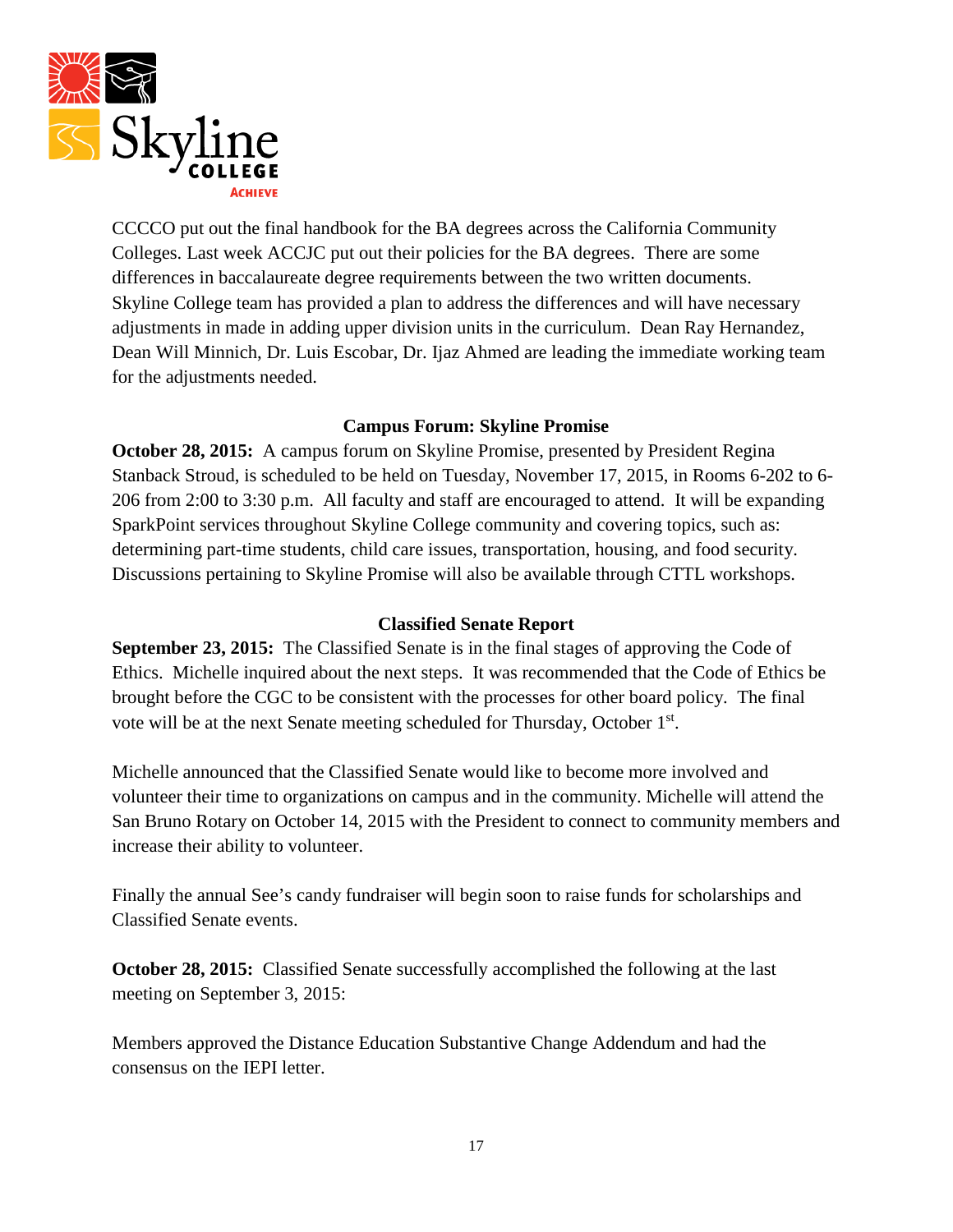

CCCCO put out the final handbook for the BA degrees across the California Community Colleges. Last week ACCJC put out their policies for the BA degrees. There are some differences in baccalaureate degree requirements between the two written documents. Skyline College team has provided a plan to address the differences and will have necessary adjustments in made in adding upper division units in the curriculum. Dean Ray Hernandez, Dean Will Minnich, Dr. Luis Escobar, Dr. Ijaz Ahmed are leading the immediate working team for the adjustments needed.

#### **Campus Forum: Skyline Promise**

**October 28, 2015:** A campus forum on Skyline Promise, presented by President Regina Stanback Stroud, is scheduled to be held on Tuesday, November 17, 2015, in Rooms 6-202 to 6- 206 from 2:00 to 3:30 p.m. All faculty and staff are encouraged to attend. It will be expanding SparkPoint services throughout Skyline College community and covering topics, such as: determining part-time students, child care issues, transportation, housing, and food security. Discussions pertaining to Skyline Promise will also be available through CTTL workshops.

#### **Classified Senate Report**

**September 23, 2015:** The Classified Senate is in the final stages of approving the Code of Ethics. Michelle inquired about the next steps. It was recommended that the Code of Ethics be brought before the CGC to be consistent with the processes for other board policy. The final vote will be at the next Senate meeting scheduled for Thursday, October 1st.

Michelle announced that the Classified Senate would like to become more involved and volunteer their time to organizations on campus and in the community. Michelle will attend the San Bruno Rotary on October 14, 2015 with the President to connect to community members and increase their ability to volunteer.

Finally the annual See's candy fundraiser will begin soon to raise funds for scholarships and Classified Senate events.

**October 28, 2015:** Classified Senate successfully accomplished the following at the last meeting on September 3, 2015:

Members approved the Distance Education Substantive Change Addendum and had the consensus on the IEPI letter.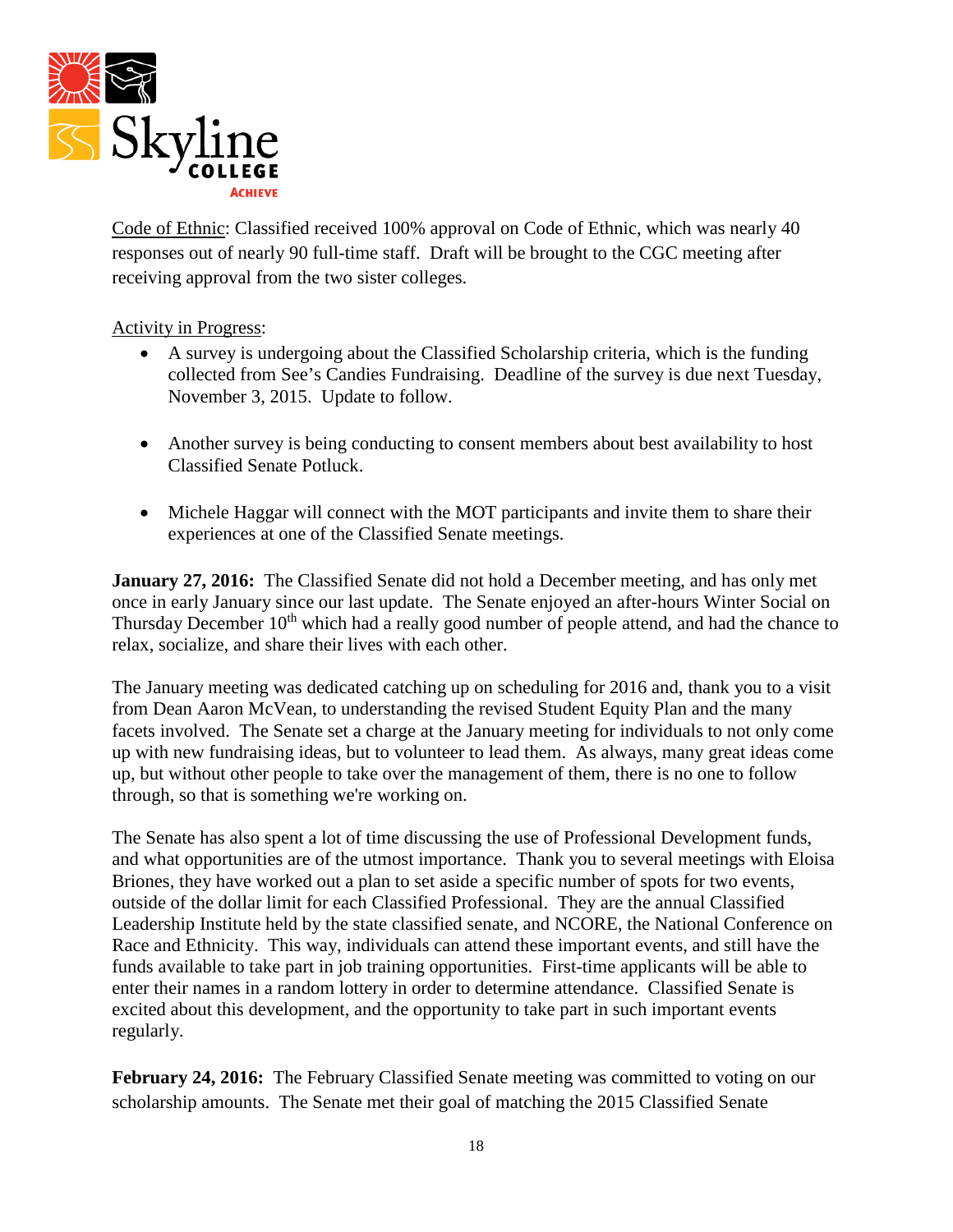

Code of Ethnic: Classified received 100% approval on Code of Ethnic, which was nearly 40 responses out of nearly 90 full-time staff. Draft will be brought to the CGC meeting after receiving approval from the two sister colleges.

### Activity in Progress:

- A survey is undergoing about the Classified Scholarship criteria, which is the funding collected from See's Candies Fundraising. Deadline of the survey is due next Tuesday, November 3, 2015. Update to follow.
- Another survey is being conducting to consent members about best availability to host Classified Senate Potluck.
- Michele Haggar will connect with the MOT participants and invite them to share their experiences at one of the Classified Senate meetings.

**January 27, 2016:** The Classified Senate did not hold a December meeting, and has only met once in early January since our last update. The Senate enjoyed an after-hours Winter Social on Thursday December 10<sup>th</sup> which had a really good number of people attend, and had the chance to relax, socialize, and share their lives with each other.

The January meeting was dedicated catching up on scheduling for 2016 and, thank you to a visit from Dean Aaron McVean, to understanding the revised Student Equity Plan and the many facets involved. The Senate set a charge at the January meeting for individuals to not only come up with new fundraising ideas, but to volunteer to lead them. As always, many great ideas come up, but without other people to take over the management of them, there is no one to follow through, so that is something we're working on.

The Senate has also spent a lot of time discussing the use of Professional Development funds, and what opportunities are of the utmost importance. Thank you to several meetings with Eloisa Briones, they have worked out a plan to set aside a specific number of spots for two events, outside of the dollar limit for each Classified Professional. They are the annual Classified Leadership Institute held by the state classified senate, and NCORE, the National Conference on Race and Ethnicity. This way, individuals can attend these important events, and still have the funds available to take part in job training opportunities. First-time applicants will be able to enter their names in a random lottery in order to determine attendance. Classified Senate is excited about this development, and the opportunity to take part in such important events regularly.

**February 24, 2016:** The February Classified Senate meeting was committed to voting on our scholarship amounts. The Senate met their goal of matching the 2015 Classified Senate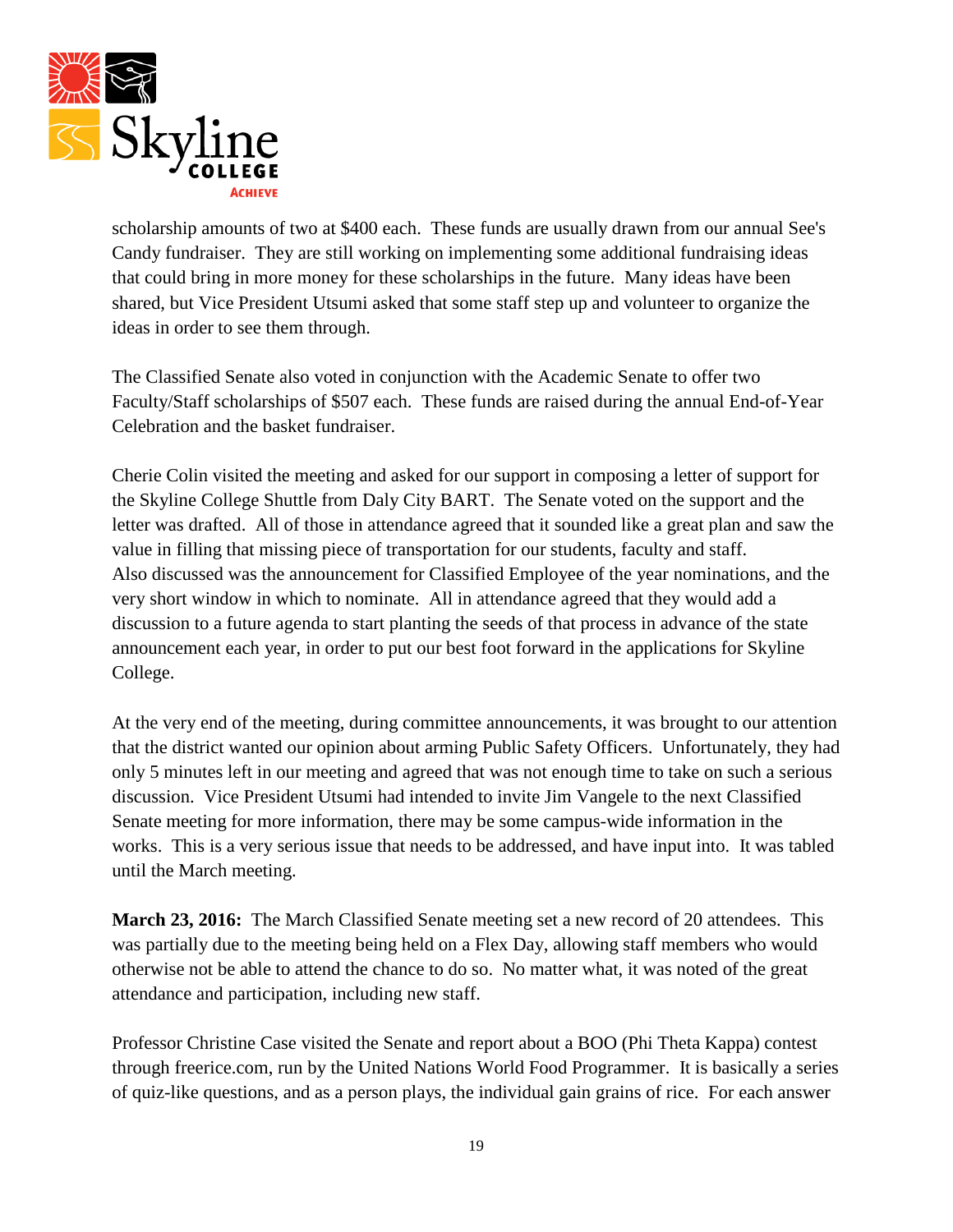

scholarship amounts of two at \$400 each. These funds are usually drawn from our annual See's Candy fundraiser. They are still working on implementing some additional fundraising ideas that could bring in more money for these scholarships in the future. Many ideas have been shared, but Vice President Utsumi asked that some staff step up and volunteer to organize the ideas in order to see them through.

The Classified Senate also voted in conjunction with the Academic Senate to offer two Faculty/Staff scholarships of \$507 each. These funds are raised during the annual End-of-Year Celebration and the basket fundraiser.

Cherie Colin visited the meeting and asked for our support in composing a letter of support for the Skyline College Shuttle from Daly City BART. The Senate voted on the support and the letter was drafted. All of those in attendance agreed that it sounded like a great plan and saw the value in filling that missing piece of transportation for our students, faculty and staff. Also discussed was the announcement for Classified Employee of the year nominations, and the very short window in which to nominate. All in attendance agreed that they would add a discussion to a future agenda to start planting the seeds of that process in advance of the state announcement each year, in order to put our best foot forward in the applications for Skyline College.

At the very end of the meeting, during committee announcements, it was brought to our attention that the district wanted our opinion about arming Public Safety Officers. Unfortunately, they had only 5 minutes left in our meeting and agreed that was not enough time to take on such a serious discussion. Vice President Utsumi had intended to invite Jim Vangele to the next Classified Senate meeting for more information, there may be some campus-wide information in the works. This is a very serious issue that needs to be addressed, and have input into. It was tabled until the March meeting.

**March 23, 2016:** The March Classified Senate meeting set a new record of 20 attendees. This was partially due to the meeting being held on a Flex Day, allowing staff members who would otherwise not be able to attend the chance to do so. No matter what, it was noted of the great attendance and participation, including new staff.

Professor Christine Case visited the Senate and report about a BOO (Phi Theta Kappa) contest through freerice.com, run by the United Nations World Food Programmer. It is basically a series of quiz-like questions, and as a person plays, the individual gain grains of rice. For each answer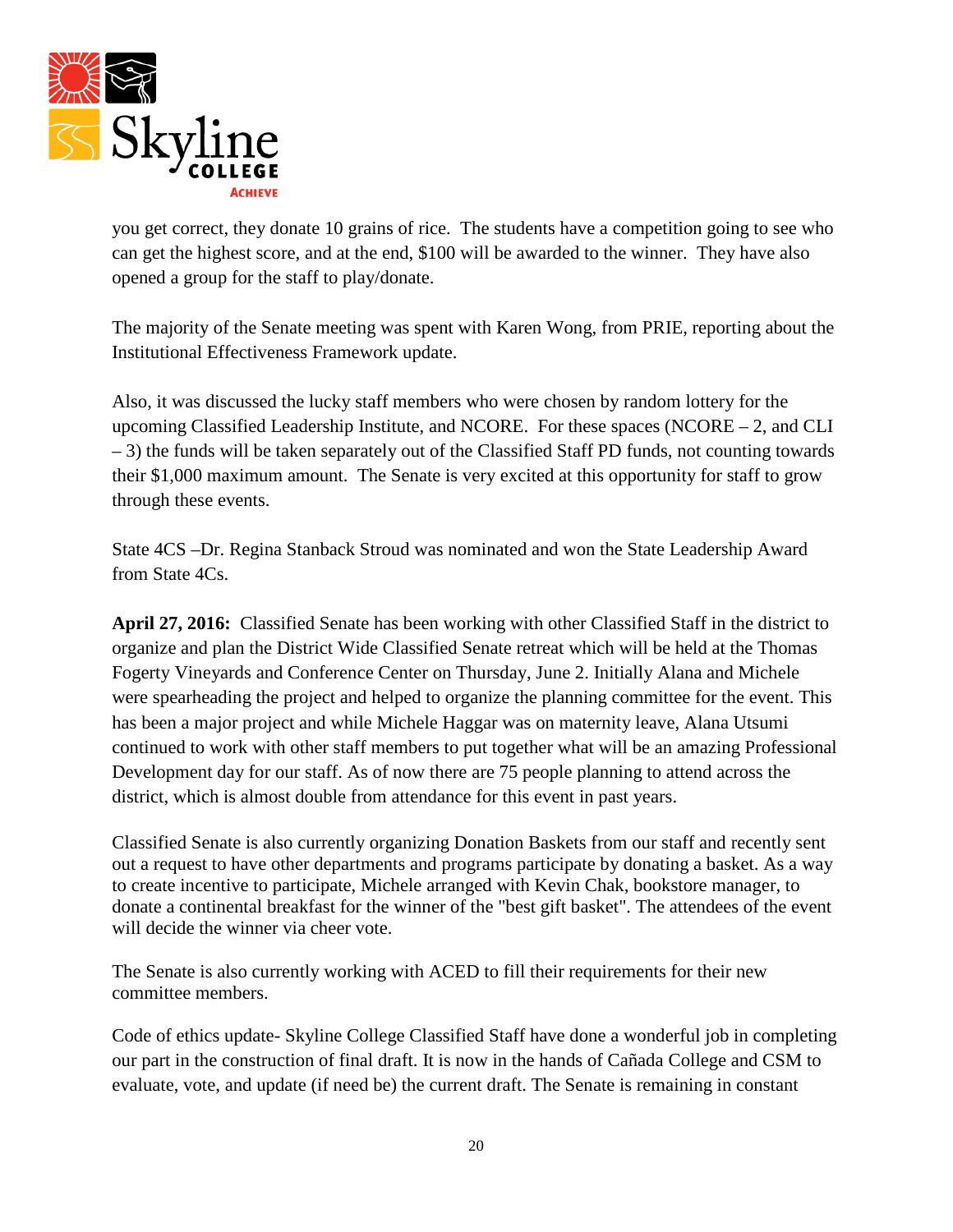

you get correct, they donate 10 grains of rice. The students have a competition going to see who can get the highest score, and at the end, \$100 will be awarded to the winner. They have also opened a group for the staff to play/donate.

The majority of the Senate meeting was spent with Karen Wong, from PRIE, reporting about the Institutional Effectiveness Framework update.

Also, it was discussed the lucky staff members who were chosen by random lottery for the upcoming Classified Leadership Institute, and NCORE. For these spaces (NCORE – 2, and CLI – 3) the funds will be taken separately out of the Classified Staff PD funds, not counting towards their \$1,000 maximum amount. The Senate is very excited at this opportunity for staff to grow through these events.

State 4CS –Dr. Regina Stanback Stroud was nominated and won the State Leadership Award from State 4Cs.

**April 27, 2016:** Classified Senate has been working with other Classified Staff in the district to organize and plan the District Wide Classified Senate retreat which will be held at the Thomas Fogerty Vineyards and Conference Center on Thursday, June 2. Initially Alana and Michele were spearheading the project and helped to organize the planning committee for the event. This has been a major project and while Michele Haggar was on maternity leave, Alana Utsumi continued to work with other staff members to put together what will be an amazing Professional Development day for our staff. As of now there are 75 people planning to attend across the district, which is almost double from attendance for this event in past years.

Classified Senate is also currently organizing Donation Baskets from our staff and recently sent out a request to have other departments and programs participate by donating a basket. As a way to create incentive to participate, Michele arranged with Kevin Chak, bookstore manager, to donate a continental breakfast for the winner of the "best gift basket". The attendees of the event will decide the winner via cheer vote.

The Senate is also currently working with ACED to fill their requirements for their new committee members.

Code of ethics update- Skyline College Classified Staff have done a wonderful job in completing our part in the construction of final draft. It is now in the hands of Cañada College and CSM to evaluate, vote, and update (if need be) the current draft. The Senate is remaining in constant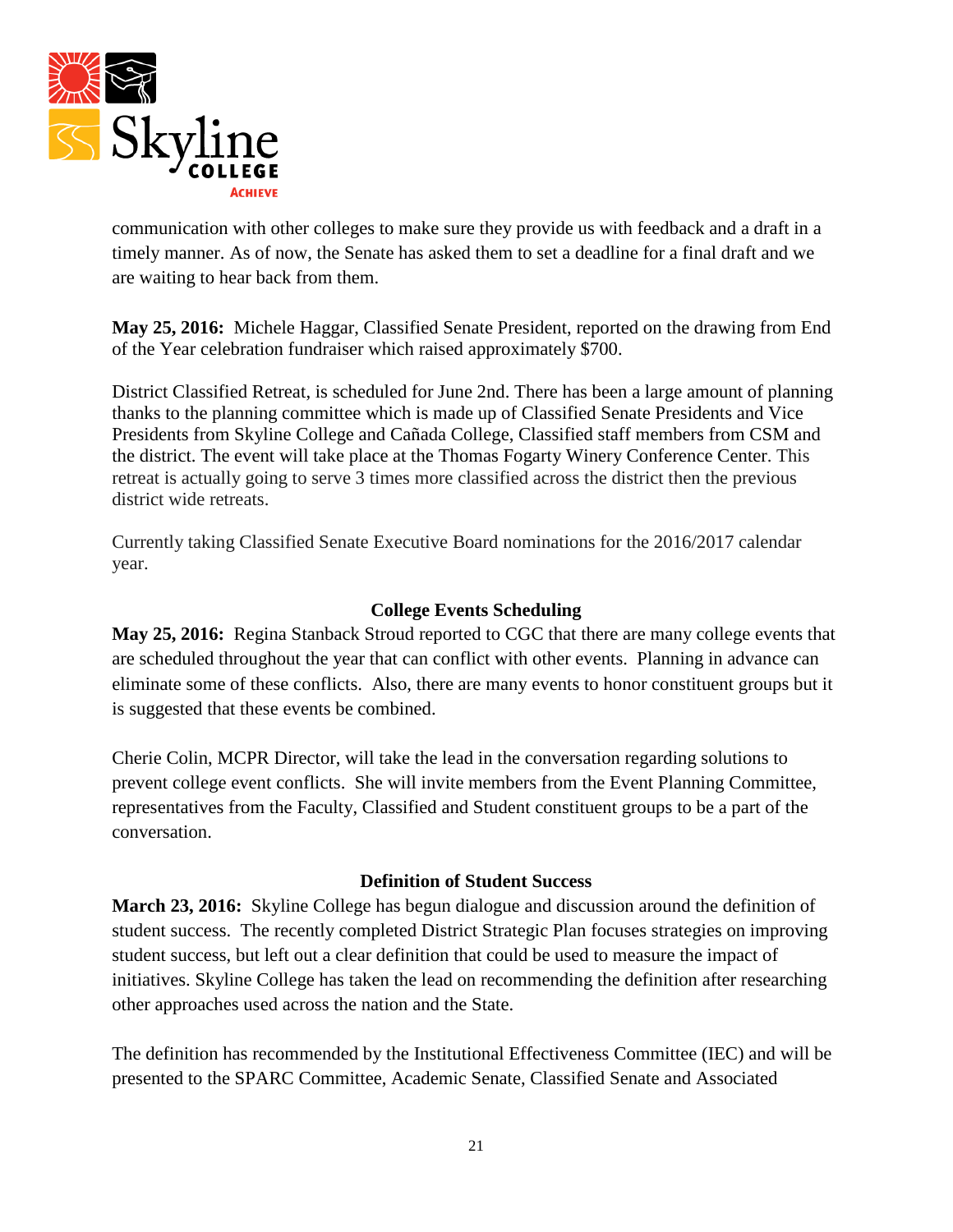

communication with other colleges to make sure they provide us with feedback and a draft in a timely manner. As of now, the Senate has asked them to set a deadline for a final draft and we are waiting to hear back from them.

**May 25, 2016:** Michele Haggar, Classified Senate President, reported on the drawing from End of the Year celebration fundraiser which raised approximately \$700.

District Classified Retreat, is scheduled for June 2nd. There has been a large amount of planning thanks to the planning committee which is made up of Classified Senate Presidents and Vice Presidents from Skyline College and Cañada College, Classified staff members from CSM and the district. The event will take place at the Thomas Fogarty Winery Conference Center. This retreat is actually going to serve 3 times more classified across the district then the previous district wide retreats.

Currently taking Classified Senate Executive Board nominations for the 2016/2017 calendar year.

### **College Events Scheduling**

**May 25, 2016:** Regina Stanback Stroud reported to CGC that there are many college events that are scheduled throughout the year that can conflict with other events. Planning in advance can eliminate some of these conflicts. Also, there are many events to honor constituent groups but it is suggested that these events be combined.

Cherie Colin, MCPR Director, will take the lead in the conversation regarding solutions to prevent college event conflicts. She will invite members from the Event Planning Committee, representatives from the Faculty, Classified and Student constituent groups to be a part of the conversation.

#### **Definition of Student Success**

**March 23, 2016:** Skyline College has begun dialogue and discussion around the definition of student success. The recently completed District Strategic Plan focuses strategies on improving student success, but left out a clear definition that could be used to measure the impact of initiatives. Skyline College has taken the lead on recommending the definition after researching other approaches used across the nation and the State.

The definition has recommended by the Institutional Effectiveness Committee (IEC) and will be presented to the SPARC Committee, Academic Senate, Classified Senate and Associated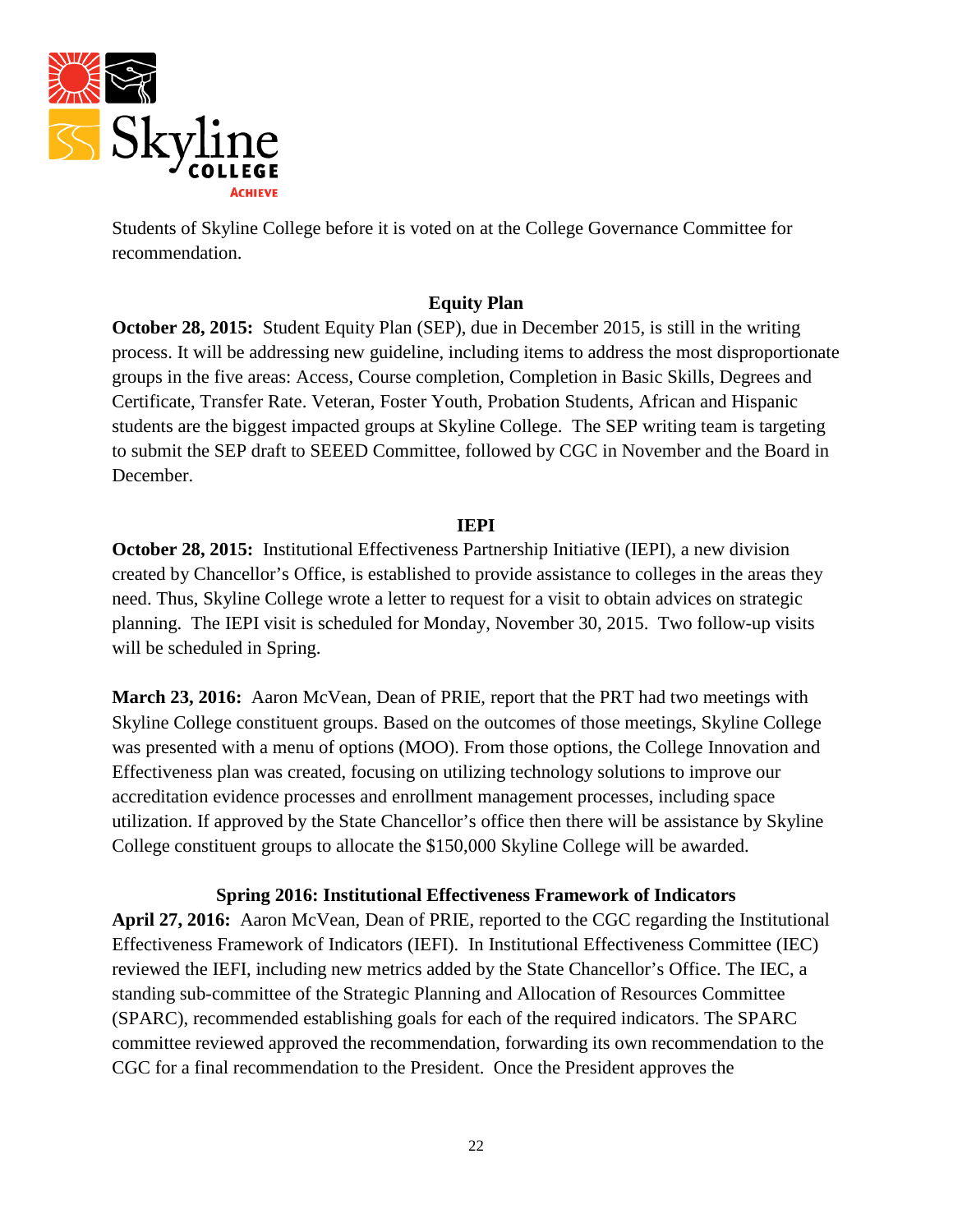

Students of Skyline College before it is voted on at the College Governance Committee for recommendation.

### **Equity Plan**

**October 28, 2015:** Student Equity Plan (SEP), due in December 2015, is still in the writing process. It will be addressing new guideline, including items to address the most disproportionate groups in the five areas: Access, Course completion, Completion in Basic Skills, Degrees and Certificate, Transfer Rate. Veteran, Foster Youth, Probation Students, African and Hispanic students are the biggest impacted groups at Skyline College. The SEP writing team is targeting to submit the SEP draft to SEEED Committee, followed by CGC in November and the Board in December.

#### **IEPI**

**October 28, 2015:** Institutional Effectiveness Partnership Initiative (IEPI), a new division created by Chancellor's Office, is established to provide assistance to colleges in the areas they need. Thus, Skyline College wrote a letter to request for a visit to obtain advices on strategic planning. The IEPI visit is scheduled for Monday, November 30, 2015. Two follow-up visits will be scheduled in Spring.

**March 23, 2016:** Aaron McVean, Dean of PRIE, report that the PRT had two meetings with Skyline College constituent groups. Based on the outcomes of those meetings, Skyline College was presented with a menu of options (MOO). From those options, the College Innovation and Effectiveness plan was created, focusing on utilizing technology solutions to improve our accreditation evidence processes and enrollment management processes, including space utilization. If approved by the State Chancellor's office then there will be assistance by Skyline College constituent groups to allocate the \$150,000 Skyline College will be awarded.

**Spring 2016: Institutional Effectiveness Framework of Indicators**

**April 27, 2016:** Aaron McVean, Dean of PRIE, reported to the CGC regarding the Institutional Effectiveness Framework of Indicators (IEFI). In Institutional Effectiveness Committee (IEC) reviewed the IEFI, including new metrics added by the State Chancellor's Office. The IEC, a standing sub-committee of the Strategic Planning and Allocation of Resources Committee (SPARC), recommended establishing goals for each of the required indicators. The SPARC committee reviewed approved the recommendation, forwarding its own recommendation to the CGC for a final recommendation to the President. Once the President approves the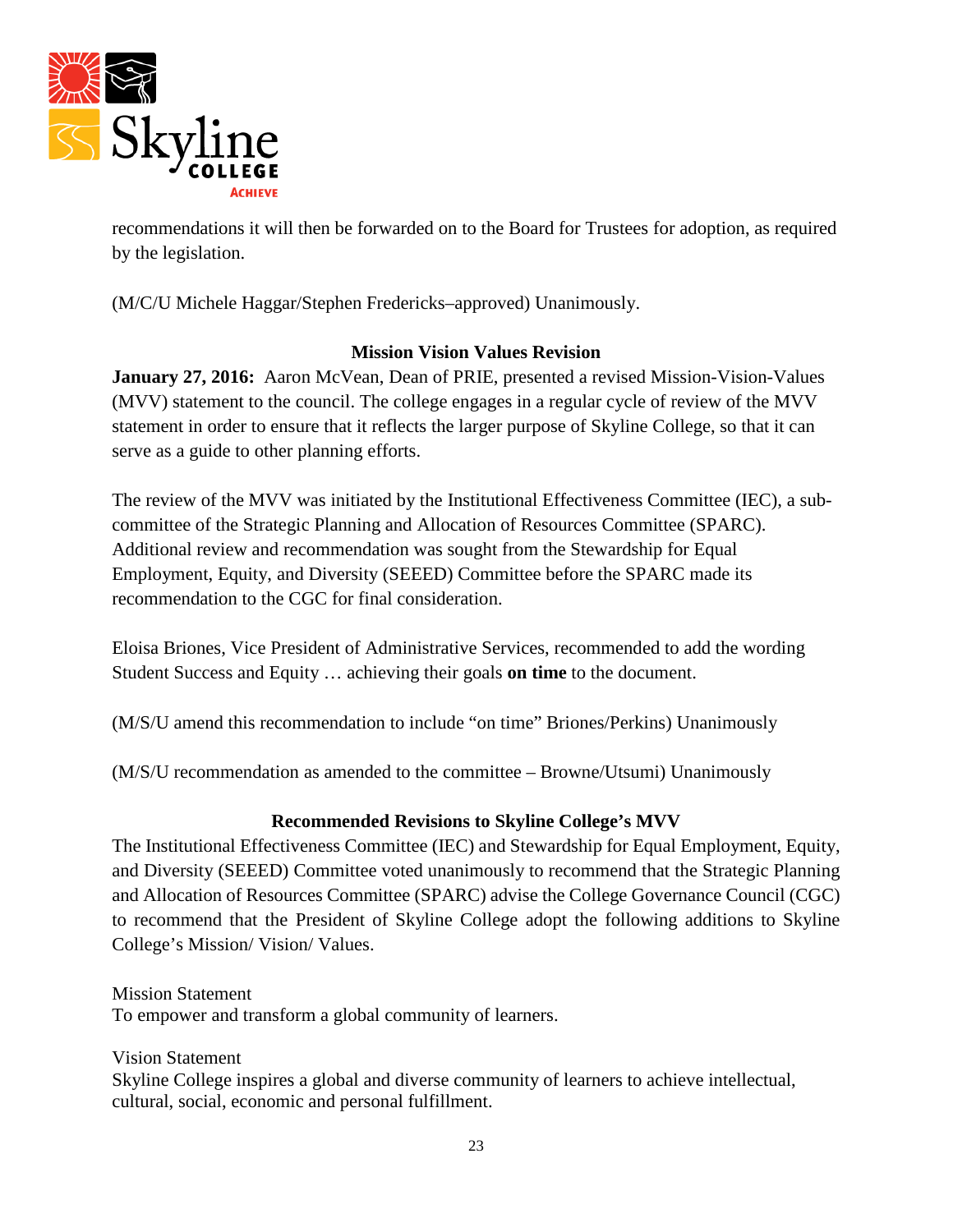

recommendations it will then be forwarded on to the Board for Trustees for adoption, as required by the legislation.

(M/C/U Michele Haggar/Stephen Fredericks–approved) Unanimously.

### **Mission Vision Values Revision**

**January 27, 2016:** Aaron McVean, Dean of PRIE, presented a revised Mission-Vision-Values (MVV) statement to the council. The college engages in a regular cycle of review of the MVV statement in order to ensure that it reflects the larger purpose of Skyline College, so that it can serve as a guide to other planning efforts.

The review of the MVV was initiated by the Institutional Effectiveness Committee (IEC), a subcommittee of the Strategic Planning and Allocation of Resources Committee (SPARC). Additional review and recommendation was sought from the Stewardship for Equal Employment, Equity, and Diversity (SEEED) Committee before the SPARC made its recommendation to the CGC for final consideration.

Eloisa Briones, Vice President of Administrative Services, recommended to add the wording Student Success and Equity … achieving their goals **on time** to the document.

(M/S/U amend this recommendation to include "on time" Briones/Perkins) Unanimously

(M/S/U recommendation as amended to the committee – Browne/Utsumi) Unanimously

## **Recommended Revisions to Skyline College's MVV**

The Institutional Effectiveness Committee (IEC) and Stewardship for Equal Employment, Equity, and Diversity (SEEED) Committee voted unanimously to recommend that the Strategic Planning and Allocation of Resources Committee (SPARC) advise the College Governance Council (CGC) to recommend that the President of Skyline College adopt the following additions to Skyline College's Mission/ Vision/ Values.

Mission Statement To empower and transform a global community of learners.

Vision Statement Skyline College inspires a global and diverse community of learners to achieve intellectual, cultural, social, economic and personal fulfillment.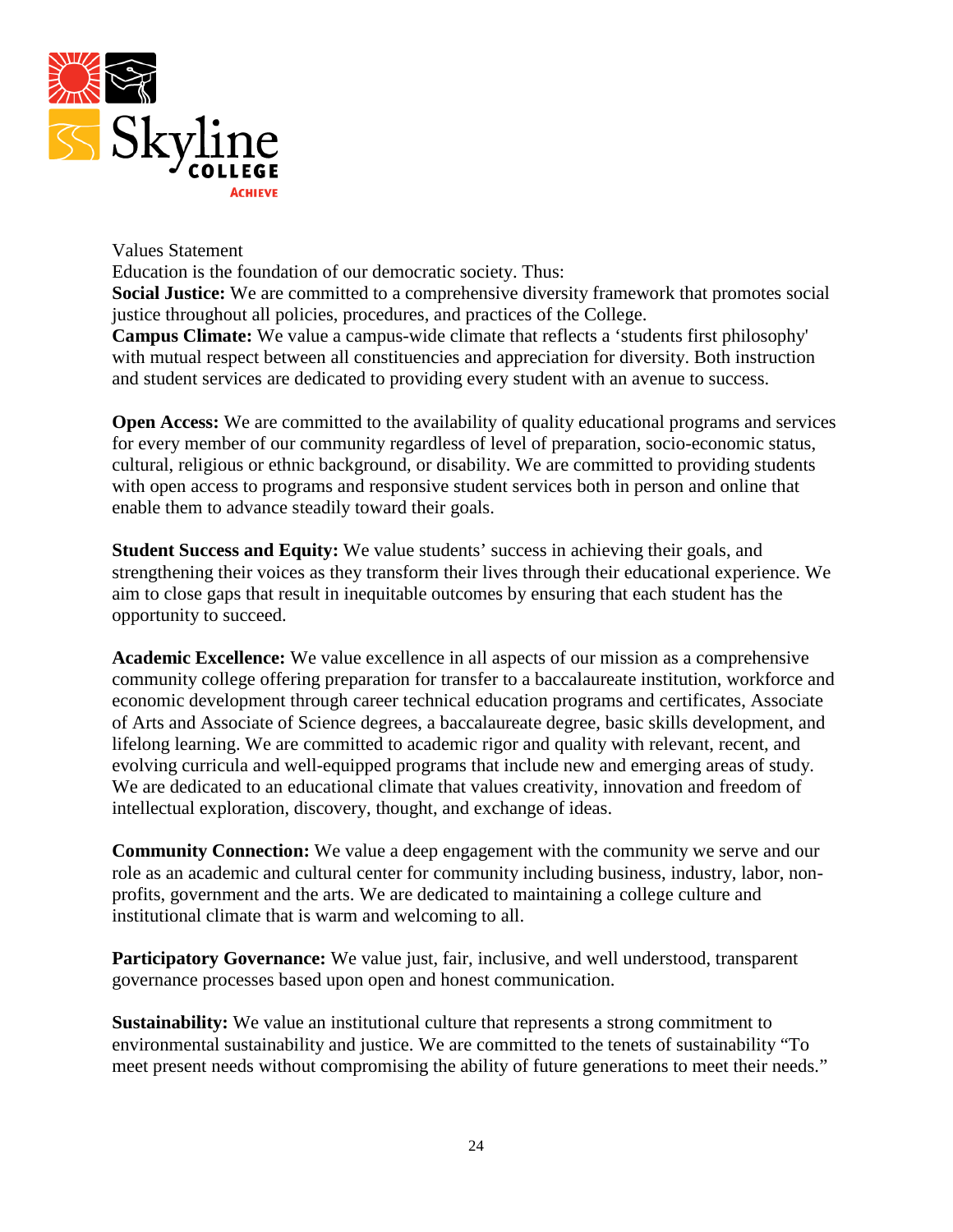

Values Statement

Education is the foundation of our democratic society. Thus: **Social Justice:** We are committed to a comprehensive diversity framework that promotes social justice throughout all policies, procedures, and practices of the College. **Campus Climate:** We value a campus-wide climate that reflects a 'students first philosophy' with mutual respect between all constituencies and appreciation for diversity. Both instruction and student services are dedicated to providing every student with an avenue to success.

**Open Access:** We are committed to the availability of quality educational programs and services for every member of our community regardless of level of preparation, socio-economic status, cultural, religious or ethnic background, or disability. We are committed to providing students with open access to programs and responsive student services both in person and online that enable them to advance steadily toward their goals.

**Student Success and Equity:** We value students' success in achieving their goals, and strengthening their voices as they transform their lives through their educational experience. We aim to close gaps that result in inequitable outcomes by ensuring that each student has the opportunity to succeed.

**Academic Excellence:** We value excellence in all aspects of our mission as a comprehensive community college offering preparation for transfer to a baccalaureate institution, workforce and economic development through career technical education programs and certificates, Associate of Arts and Associate of Science degrees, a baccalaureate degree, basic skills development, and lifelong learning. We are committed to academic rigor and quality with relevant, recent, and evolving curricula and well-equipped programs that include new and emerging areas of study. We are dedicated to an educational climate that values creativity, innovation and freedom of intellectual exploration, discovery, thought, and exchange of ideas.

**Community Connection:** We value a deep engagement with the community we serve and our role as an academic and cultural center for community including business, industry, labor, nonprofits, government and the arts. We are dedicated to maintaining a college culture and institutional climate that is warm and welcoming to all.

**Participatory Governance:** We value just, fair, inclusive, and well understood, transparent governance processes based upon open and honest communication.

**Sustainability:** We value an institutional culture that represents a strong commitment to environmental sustainability and justice. We are committed to the tenets of sustainability "To meet present needs without compromising the ability of future generations to meet their needs."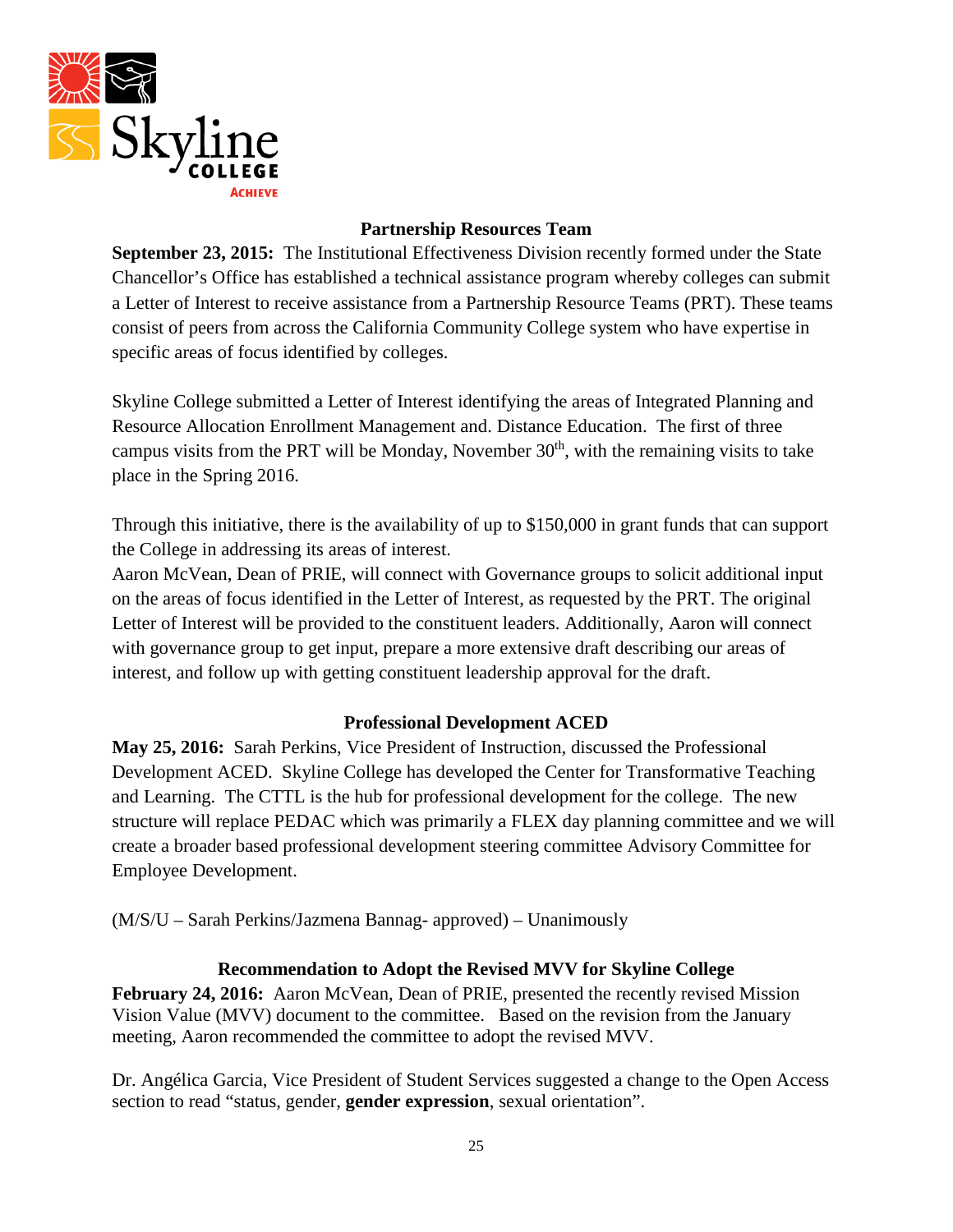

### **Partnership Resources Team**

**September 23, 2015:** The Institutional Effectiveness Division recently formed under the State Chancellor's Office has established a technical assistance program whereby colleges can submit a Letter of Interest to receive assistance from a Partnership Resource Teams (PRT). These teams consist of peers from across the California Community College system who have expertise in specific areas of focus identified by colleges.

Skyline College submitted a Letter of Interest identifying the areas of Integrated Planning and Resource Allocation Enrollment Management and. Distance Education. The first of three campus visits from the PRT will be Monday, November  $30<sup>th</sup>$ , with the remaining visits to take place in the Spring 2016.

Through this initiative, there is the availability of up to \$150,000 in grant funds that can support the College in addressing its areas of interest.

Aaron McVean, Dean of PRIE, will connect with Governance groups to solicit additional input on the areas of focus identified in the Letter of Interest, as requested by the PRT. The original Letter of Interest will be provided to the constituent leaders. Additionally, Aaron will connect with governance group to get input, prepare a more extensive draft describing our areas of interest, and follow up with getting constituent leadership approval for the draft.

## **Professional Development ACED**

**May 25, 2016:** Sarah Perkins, Vice President of Instruction, discussed the Professional Development ACED. Skyline College has developed the Center for Transformative Teaching and Learning. The CTTL is the hub for professional development for the college. The new structure will replace PEDAC which was primarily a FLEX day planning committee and we will create a broader based professional development steering committee Advisory Committee for Employee Development.

(M/S/U – Sarah Perkins/Jazmena Bannag- approved) – Unanimously

#### **Recommendation to Adopt the Revised MVV for Skyline College**

**February 24, 2016:** Aaron McVean, Dean of PRIE, presented the recently revised Mission Vision Value (MVV) document to the committee. Based on the revision from the January meeting, Aaron recommended the committee to adopt the revised MVV.

Dr. Angélica Garcia, Vice President of Student Services suggested a change to the Open Access section to read "status, gender, **gender expression**, sexual orientation".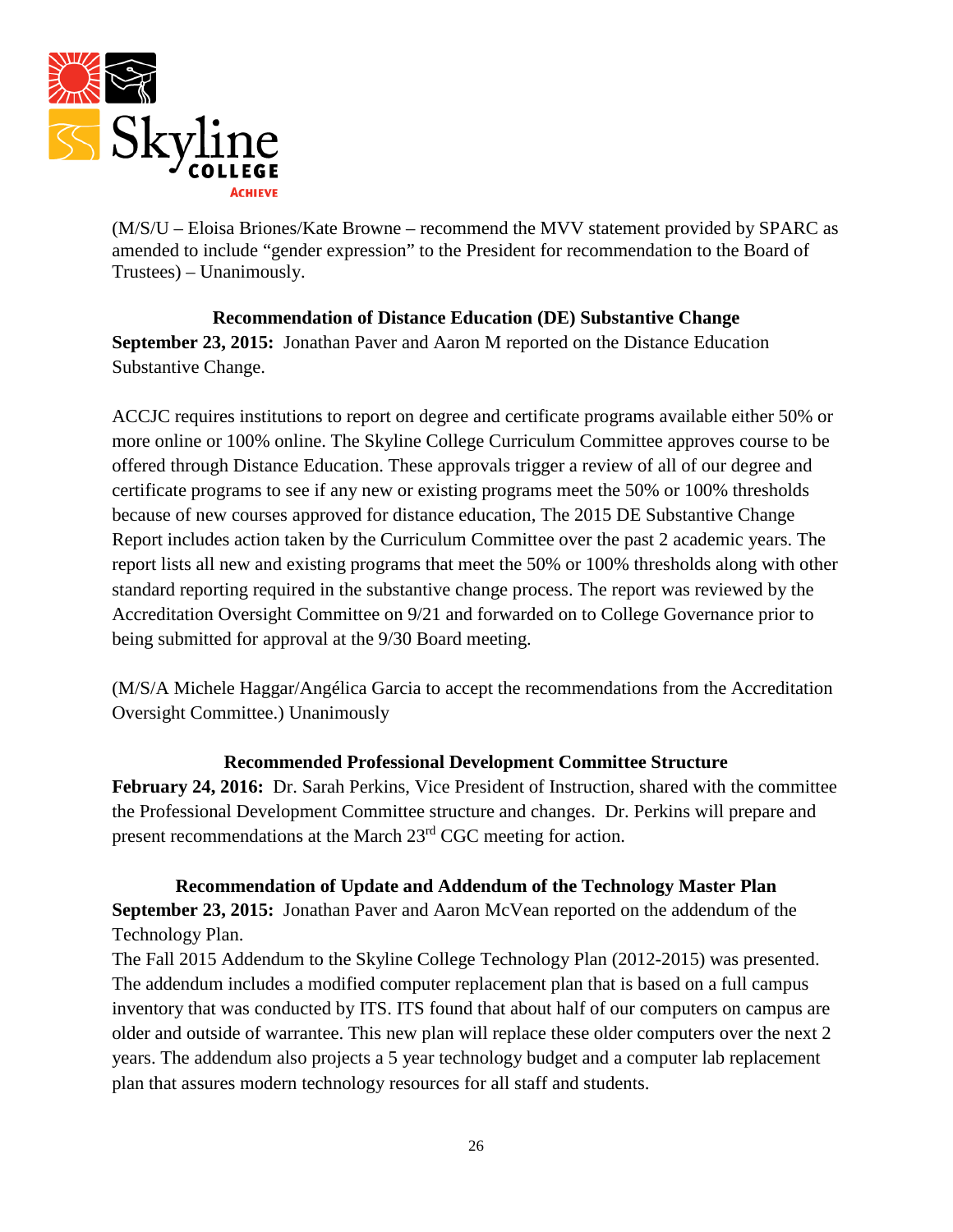

(M/S/U – Eloisa Briones/Kate Browne – recommend the MVV statement provided by SPARC as amended to include "gender expression" to the President for recommendation to the Board of Trustees) – Unanimously.

**Recommendation of Distance Education (DE) Substantive Change September 23, 2015:** Jonathan Paver and Aaron M reported on the Distance Education Substantive Change.

ACCJC requires institutions to report on degree and certificate programs available either 50% or more online or 100% online. The Skyline College Curriculum Committee approves course to be offered through Distance Education. These approvals trigger a review of all of our degree and certificate programs to see if any new or existing programs meet the 50% or 100% thresholds because of new courses approved for distance education, The 2015 DE Substantive Change Report includes action taken by the Curriculum Committee over the past 2 academic years. The report lists all new and existing programs that meet the 50% or 100% thresholds along with other standard reporting required in the substantive change process. The report was reviewed by the Accreditation Oversight Committee on 9/21 and forwarded on to College Governance prior to being submitted for approval at the 9/30 Board meeting.

(M/S/A Michele Haggar/Angélica Garcia to accept the recommendations from the Accreditation Oversight Committee.) Unanimously

### **Recommended Professional Development Committee Structure**

**February 24, 2016:** Dr. Sarah Perkins, Vice President of Instruction, shared with the committee the Professional Development Committee structure and changes. Dr. Perkins will prepare and present recommendations at the March 23<sup>rd</sup> CGC meeting for action.

**Recommendation of Update and Addendum of the Technology Master Plan September 23, 2015:** Jonathan Paver and Aaron McVean reported on the addendum of the Technology Plan.

The Fall 2015 Addendum to the Skyline College Technology Plan (2012-2015) was presented. The addendum includes a modified computer replacement plan that is based on a full campus inventory that was conducted by ITS. ITS found that about half of our computers on campus are older and outside of warrantee. This new plan will replace these older computers over the next 2 years. The addendum also projects a 5 year technology budget and a computer lab replacement plan that assures modern technology resources for all staff and students.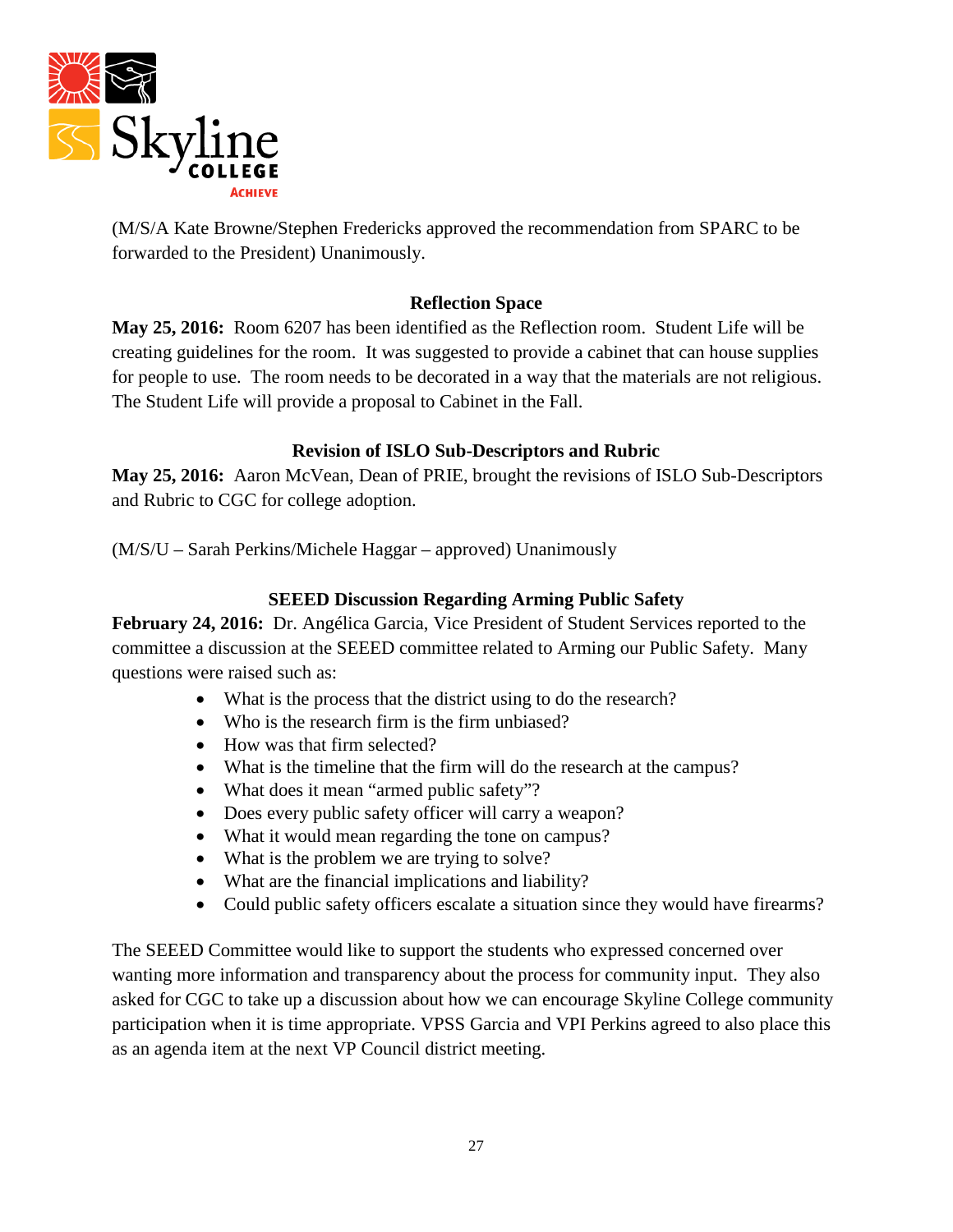

(M/S/A Kate Browne/Stephen Fredericks approved the recommendation from SPARC to be forwarded to the President) Unanimously.

### **Reflection Space**

**May 25, 2016:** Room 6207 has been identified as the Reflection room. Student Life will be creating guidelines for the room. It was suggested to provide a cabinet that can house supplies for people to use. The room needs to be decorated in a way that the materials are not religious. The Student Life will provide a proposal to Cabinet in the Fall.

## **Revision of ISLO Sub-Descriptors and Rubric**

**May 25, 2016:** Aaron McVean, Dean of PRIE, brought the revisions of ISLO Sub-Descriptors and Rubric to CGC for college adoption.

(M/S/U – Sarah Perkins/Michele Haggar – approved) Unanimously

# **SEEED Discussion Regarding Arming Public Safety**

**February 24, 2016:** Dr. Angélica Garcia, Vice President of Student Services reported to the committee a discussion at the SEEED committee related to Arming our Public Safety. Many questions were raised such as:

- What is the process that the district using to do the research?
- Who is the research firm is the firm unbiased?
- How was that firm selected?
- What is the timeline that the firm will do the research at the campus?
- What does it mean "armed public safety"?
- Does every public safety officer will carry a weapon?
- What it would mean regarding the tone on campus?
- What is the problem we are trying to solve?
- What are the financial implications and liability?
- Could public safety officers escalate a situation since they would have firearms?

The SEEED Committee would like to support the students who expressed concerned over wanting more information and transparency about the process for community input. They also asked for CGC to take up a discussion about how we can encourage Skyline College community participation when it is time appropriate. VPSS Garcia and VPI Perkins agreed to also place this as an agenda item at the next VP Council district meeting.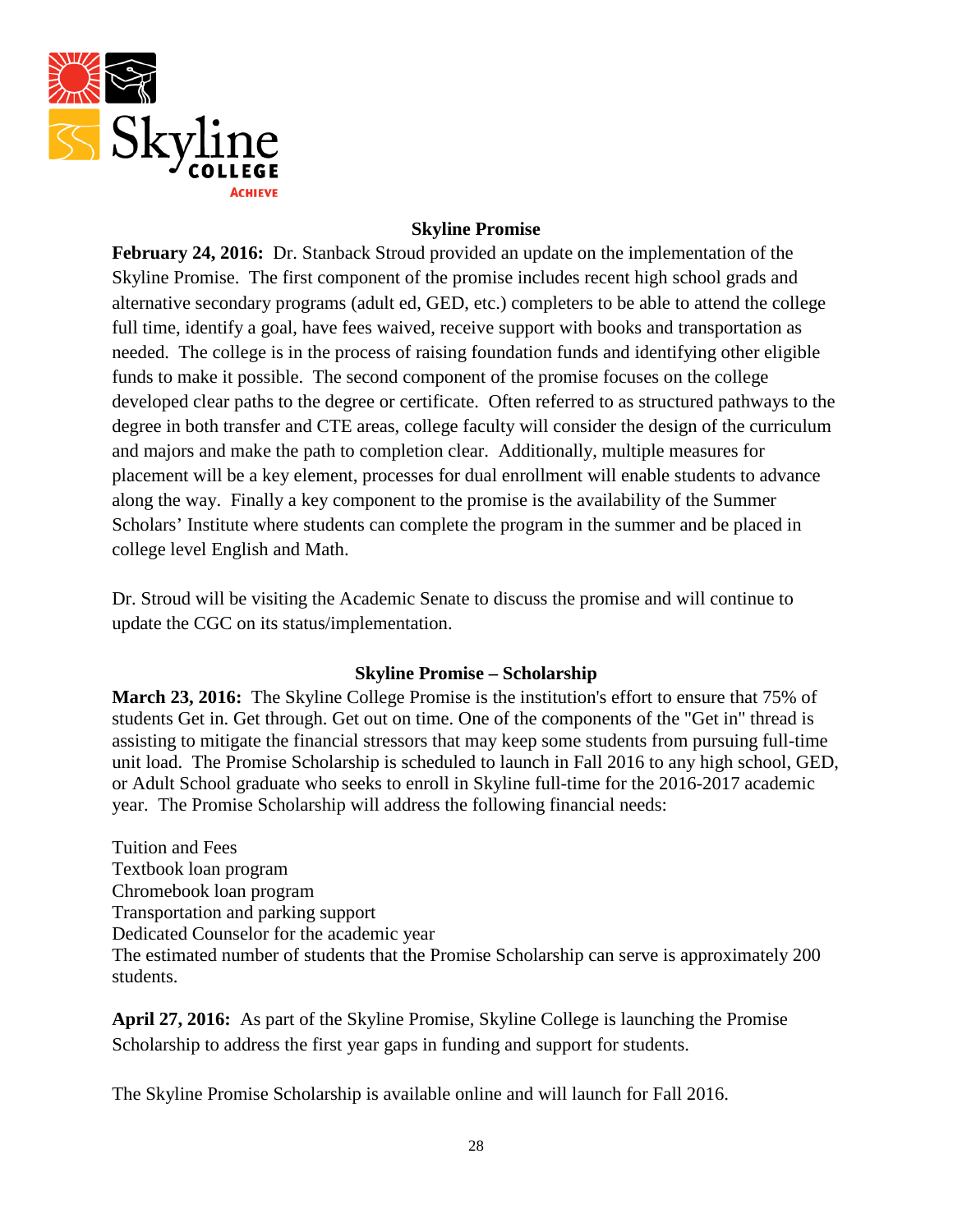

## **Skyline Promise**

**February 24, 2016:** Dr. Stanback Stroud provided an update on the implementation of the Skyline Promise. The first component of the promise includes recent high school grads and alternative secondary programs (adult ed, GED, etc.) completers to be able to attend the college full time, identify a goal, have fees waived, receive support with books and transportation as needed. The college is in the process of raising foundation funds and identifying other eligible funds to make it possible. The second component of the promise focuses on the college developed clear paths to the degree or certificate. Often referred to as structured pathways to the degree in both transfer and CTE areas, college faculty will consider the design of the curriculum and majors and make the path to completion clear. Additionally, multiple measures for placement will be a key element, processes for dual enrollment will enable students to advance along the way. Finally a key component to the promise is the availability of the Summer Scholars' Institute where students can complete the program in the summer and be placed in college level English and Math.

Dr. Stroud will be visiting the Academic Senate to discuss the promise and will continue to update the CGC on its status/implementation.

### **Skyline Promise – Scholarship**

**March 23, 2016:** The Skyline College Promise is the institution's effort to ensure that 75% of students Get in. Get through. Get out on time. One of the components of the "Get in" thread is assisting to mitigate the financial stressors that may keep some students from pursuing full-time unit load. The Promise Scholarship is scheduled to launch in Fall 2016 to any high school, GED, or Adult School graduate who seeks to enroll in Skyline full-time for the 2016-2017 academic year. The Promise Scholarship will address the following financial needs:

Tuition and Fees Textbook loan program Chromebook loan program Transportation and parking support Dedicated Counselor for the academic year The estimated number of students that the Promise Scholarship can serve is approximately 200 students.

**April 27, 2016:** As part of the Skyline Promise, Skyline College is launching the Promise Scholarship to address the first year gaps in funding and support for students.

The Skyline Promise Scholarship is available online and will launch for Fall 2016.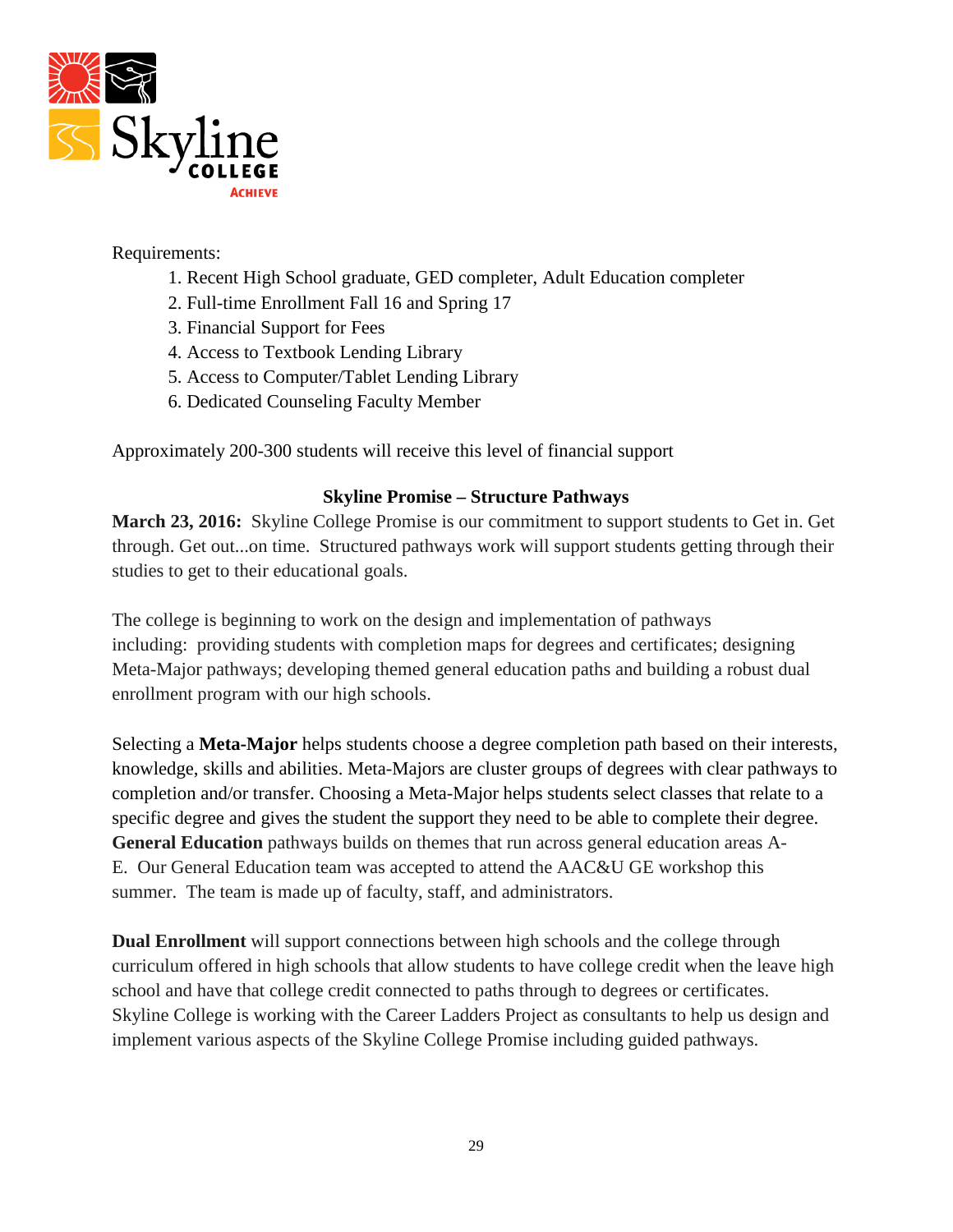

### Requirements:

- 1. Recent High School graduate, GED completer, Adult Education completer
- 2. Full-time Enrollment Fall 16 and Spring 17
- 3. Financial Support for Fees
- 4. Access to Textbook Lending Library
- 5. Access to Computer/Tablet Lending Library
- 6. Dedicated Counseling Faculty Member

Approximately 200-300 students will receive this level of financial support

### **Skyline Promise – Structure Pathways**

**March 23, 2016:** Skyline College Promise is our commitment to support students to Get in. Get through. Get out...on time. Structured pathways work will support students getting through their studies to get to their educational goals.

The college is beginning to work on the design and implementation of pathways including: providing students with completion maps for degrees and certificates; designing Meta-Major pathways; developing themed general education paths and building a robust dual enrollment program with our high schools.

Selecting a **Meta-Major** helps students choose a degree completion path based on their interests, knowledge, skills and abilities. Meta-Majors are cluster groups of degrees with clear pathways to completion and/or transfer. Choosing a Meta-Major helps students select classes that relate to a specific degree and gives the student the support they need to be able to complete their degree. **General Education** pathways builds on themes that run across general education areas A-E. Our General Education team was accepted to attend the AAC&U GE workshop this summer. The team is made up of faculty, staff, and administrators.

**Dual Enrollment** will support connections between high schools and the college through curriculum offered in high schools that allow students to have college credit when the leave high school and have that college credit connected to paths through to degrees or certificates. Skyline College is working with the Career Ladders Project as consultants to help us design and implement various aspects of the Skyline College Promise including guided pathways.